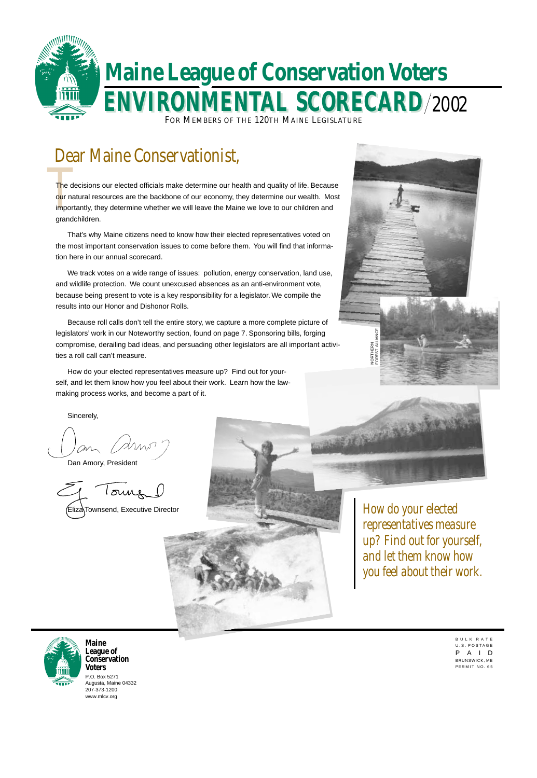B U L K R A T E U.S. POSTAGE P A I D BRUNSWICK, ME PERMIT NO. 65

# Dear Maine Conservationist,



P.O. Box 5271 Augusta, Maine 04332 207-373-1200 www.mlcv.org

**Maine League of Conservation Voters**

*How do your elected representatives measure up? Find out for yourself, and let them know how*





The de The decisions our elected officials make determine our health and quality of life. Because our natural resources are the backbone of our economy, they determine our wealth. Most importantly, they determine whether we will leave the Maine we love to our children and grandchildren.



That's why Maine citizens need to know how their elected representatives voted on the most important conservation issues to come before them. You will find that information here in our annual scorecard.

We track votes on a wide range of issues: pollution, energy conservation, land use, and wildlife protection. We count unexcused absences as an anti-environment vote, because being present to vote is a key responsibility for a legislator. We compile the results into our Honor and Dishonor Rolls.

Because roll calls don't tell the entire story, we capture a more complete picture of legislators' work in our Noteworthy section, found on page 7. Sponsoring bills, forging compromise, derailing bad ideas, and persuading other legislators are all important activities a roll call can't measure.

How do your elected representatives measure up? Find out for yourself, and let them know how you feel about their work. Learn how the lawmaking process works, and become a part of it.



Sincerely,

Dan Amory, President

Tours (Eliza Townsend, Executive Director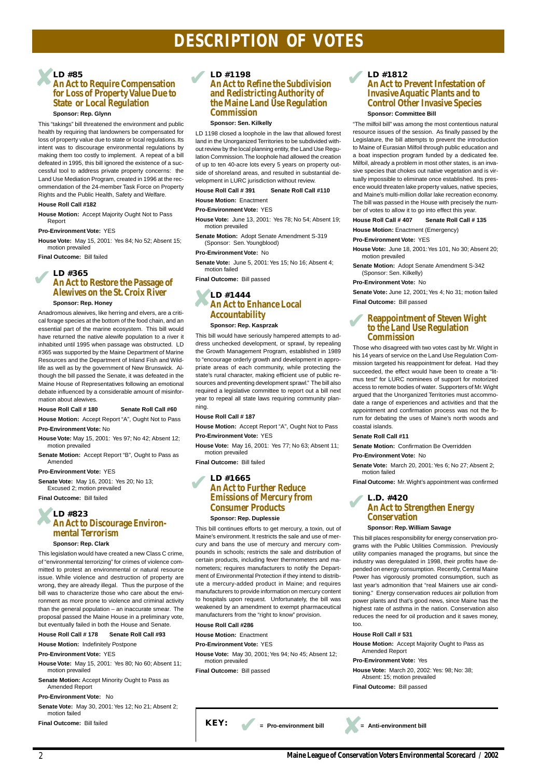# **DESCRIPTION OF VOTES**

# **An Act to Require Compensation for Loss of Property Value Due to State or Local Regulation**

#### **Sponsor: Rep. Glynn**

This "takings" bill threatened the environment and public health by requiring that landowners be compensated for loss of property value due to state or local regulations. Its intent was to discourage environmental regulations by making them too costly to implement. A repeat of a bill defeated in 1995, this bill ignored the existence of a successful tool to address private property concerns: the Land Use Mediation Program, created in 1996 at the recommendation of the 24-member Task Force on Property Rights and the Public Health, Safety and Welfare.

#### **House Roll Call #182**

**House Motion:** Accept Majority Ought Not to Pass Report

**Pro-Environment Vote:** YES

**House Vote:** May 15, 2001: Yes 84; No 52; Absent 15; motion prevailed

**Final Outcome:** Bill failed

#### **Sponsor: Rep. Honey**

Anadromous alewives, like herring and elvers, are a critical forage species at the bottom of the food chain, and an essential part of the marine ecosystem. This bill would have returned the native alewife population to a river it inhabited until 1995 when passage was obstructed. LD #365 was supported by the Maine Department of Marine Resources and the Department of Inland Fish and Wildlife as well as by the government of New Brunswick. Although the bill passed the Senate, it was defeated in the Maine House of Representatives following an emotional debate influenced by a considerable amount of misinformation about alewives.

#### **House Roll Call # 180 Senate Roll Call #60**

**House Motion:** Accept Report "A", Ought Not to Pass

**Pro-Environment Vote:** No

- **House Vote:** May 15, 2001: Yes 97; No 42; Absent 12; motion prevailed
- **Senate Motion:** Accept Report "B", Ought to Pass as Amended

**Pro-Environment Vote:** YES

# **LD #1444**<br>An Act to E **An Act to Enhance Local Accountability**

**Senate Vote:** May 16, 2001: Yes 20; No 13; Excused 2; motion prevailed

**Final Outcome:** Bill failed

#### **Sponsor: Rep. Clark**

This legislation would have created a new Class C crime, of "environmental terrorizing" for crimes of violence committed to protest an environmental or natural resource issue. While violence and destruction of property are wrong, they are already illegal. Thus the purpose of the bill was to characterize those who care about the environment as more prone to violence and criminal activity than the general population – an inaccurate smear. The proposal passed the Maine House in a preliminary vote, but eventually failed in both the House and Senate.

**House Roll Call # 178 Senate Roll Call #93**

**House Motion:** Indefinitely Postpone

**Pro-Environment Vote:** YES

**House Vote:** May 15, 2001: Yes 80; No 60; Absent 11; motion prevailed

**Senate Motion:** Accept Minority Ought to Pass as Amended Report

#### **Pro-Environment Vote:** No

**Senate Vote:** May 30, 2001: Yes 12; No 21; Absent 2; motion failed

**Final Outcome:** Bill failed

## **LD #1198 An Act to Refine the Subdivision and Redistricting Authority of the Maine Land Use Regulation Commission**

#### **Sponsor: Sen. Kilkelly**

LD 1198 closed a loophole in the law that allowed forest land in the Unorganized Territories to be subdivided without review by the local planning entity, the Land Use Regulation Commission. The loophole had allowed the creation of up to ten 40-acre lots every 5 years on property outside of shoreland areas, and resulted in substantial development in LURC jurisdiction without review.

#### **House Roll Call # 391 Senate Roll Call #110**

**House Motion:** Enactment

#### **Pro-Environment Vote:** YES

- **House Vote:** June 13, 2001: Yes 78; No 54; Absent 19; motion prevailed
- **Senate Motion:** Adopt Senate Amendment S-319 (Sponsor: Sen. Youngblood)

#### **Pro-Environment Vote:** No

**Senate Vote:** June 5, 2001: Yes 15; No 16; Absent 4; motion failed

**Final Outcome:** Bill passed

#### **Sponsor: Rep. Kasprzak**

This bill would have seriously hampered attempts to address unchecked development, or sprawl, by repealing the Growth Management Program, established in 1989 to "encourage orderly growth and development in appropriate areas of each community, while protecting the state's rural character, making efficient use of public resources and preventing development sprawl." The bill also required a legislative committee to report out a bill next year to repeal all state laws requiring community planning.

# **LD #85** ✘

#### **House Roll Call # 187**

**House Motion:** Accept Report "A", Ought Not to Pass

#### **Pro-Environment Vote:** YES

**House Vote:** May 16, 2001: Yes 77; No 63; Absent 11; motion prevailed

**Final Outcome:** Bill failed

#### **LD #365 An Act to Restore the Passage of Alewives on the St. Croix River** ✔

This bill continues efforts to get mercury, a toxin, out of Maine's environment. It restricts the sale and use of mercury and bans the use of mercury and mercury compounds in schools; restricts the sale and distribution of certain products, including fever thermometers and manometers; requires manufacturers to notify the Department of Environmental Protection if they intend to distribute a mercury-added product in Maine; and requires manufacturers to provide information on mercury content to hospitals upon request. Unfortunately, the bill was weakened by an amendment to exempt pharmaceutical manufacturers from the "right to know" provision.

#### **LD #823 An Act to Discourage Environmental Terrorism** ✘

#### **House Roll Call #286**

**House Motion:** Enactment

**Pro-Environment Vote:** YES

**House Vote:** May 30, 2001; Yes 94; No 45; Absent 12; motion prevailed

**KEY:**  $=$  Pro-environment bill  $=$  Anti-environment bill

**Final Outcome:** Bill passed

## **LD #1812 An Act to Prevent Infestation of Invasive Aquatic Plants and to Control Other Invasive Species**

#### **Sponsor: Committee Bill**

"The milfoil bill" was among the most contentious natural resource issues of the session. As finally passed by the Legislature, the bill attempts to prevent the introduction to Maine of Eurasian Milfoil through public education and a boat inspection program funded by a dedicated fee. Milfoil, already a problem in most other states, is an invasive species that chokes out native vegetation and is virtually impossible to eliminate once established. Its presence would threaten lake property values, native species, and Maine's multi-million dollar lake recreation economy. The bill was passed in the House with precisely the number of votes to allow it to go into effect this year.

#### **House Roll Call # 407 Senate Roll Call # 135**

#### **House Motion: Enactment (Emergency)**

**Pro-Environment Vote:** YES

**House Vote:** June 18, 2001: Yes 101, No 30; Absent 20; motion prevailed

**Senate Motion:** Adopt Senate Amendment S-342 (Sponsor: Sen. Kilkelly)

#### **LD #1665 An Act to Further Reduce Emissions of Mercury from Consumer Products Sponsor: Rep. Duplessie** ✔

#### **Pro-Environment Vote:** No

**Senate Vote:** June 12, 2001; Yes 4; No 31; motion failed **Final Outcome:** Bill passed

Those who disagreed with two votes cast by Mr. Wight in his 14 years of service on the Land Use Regulation Commission targeted his reappointment for defeat. Had they succeeded, the effect would have been to create a "litmus test" for LURC nominees of support for motorized access to remote bodies of water. Supporters of Mr. Wight argued that the Unorganized Territories must accommodate a range of experiences and activities and that the appointment and confirmation process was not the forum for debating the uses of Maine's north woods and coastal islands.

#### **Senate Roll Call #11**

**Senate Motion:** Confirmation Be Overridden

**Pro-Environment Vote:** No

**Senate Vote:** March 20, 2001: Yes 6; No 27; Absent 2; motion failed

**Final Outcome:** Mr. Wight's appointment was confirmed

#### **Sponsor: Rep. William Savage**

#### **Reappointment of Steven Wight to the Land Use Regulation Commission** ✔

This bill places responsibility for energy conservation programs with the Public Utilities Commission. Previously utility companies managed the programs, but since the industry was deregulated in 1998, their profits have depended on energy consumption. Recently, Central Maine Power has vigorously promoted consumption, such as last year's admonition that "real Mainers use air condi-

#### **L.D. #420 An Act to Strengthen Energy Conservation** ✔

tioning." Energy conservation reduces air pollution from power plants and that's good news, since Maine has the highest rate of asthma in the nation. Conservation also reduces the need for oil production and it saves money, too.

**House Roll Call # 531**

**House Motion:** Accept Majority Ought to Pass as Amended Report

#### **Pro-Environment Vote:** Yes

**House Vote:** March 20, 2002: Yes: 98; No: 38; Absent: 15; motion prevailed

**Final Outcome:** Bill passed

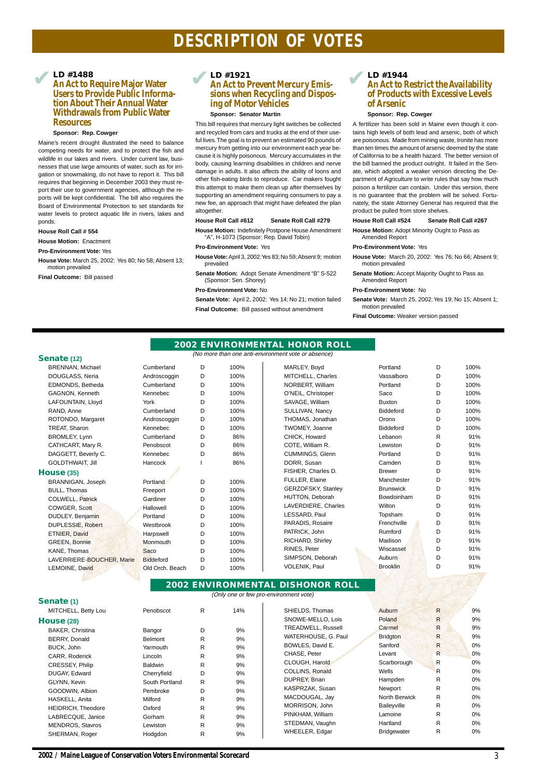# **DESCRIPTION OF VOTES**

#### **Senate (12)**

| <b>BRENNAN, Michael</b> |
|-------------------------|
| DOUGLASS, Neria         |
| EDMONDS, Betheda        |
| GAGNON, Kenneth         |
| LAFOUNTAIN, Lloyd       |
| RAND. Anne              |
| ROTONDO, Margaret       |
| <b>TREAT, Sharon</b>    |
| <b>BROMLEY, Lynn</b>    |
| CATHCART, Mary R.       |
| DAGGETT, Beverly C.     |
| <b>GOLDTHWAIT. Jill</b> |

#### **House (35)**

| BRANNIGAN, Joseph        |
|--------------------------|
| <b>BULL, Thomas</b>      |
| COLWELL, Patrick         |
| COWGER, Scott            |
| <b>DUDLEY, Benjamin</b>  |
| <b>DUPLESSIE, Robert</b> |
| <b>ETNIER, David</b>     |
| <b>GREEN, Bonnie</b>     |
| KANE, Thomas             |
| LAVERRIERE-BOUCHER, M    |
| LEMOINE, David           |
|                          |

| BRENNAN, Michael          | Cumberland       | D | 100% | MARLEY, Boyd          | Portland         | D | 100% |
|---------------------------|------------------|---|------|-----------------------|------------------|---|------|
| DOUGLASS, Neria           | Androscoggin     | D | 100% | MITCHELL, Charles     | Vassalboro       | D | 100% |
| EDMONDS, Betheda          | Cumberland       | D | 100% | NORBERT, William      | Portland         | D | 100% |
| GAGNON, Kenneth           | Kennebec         | D | 100% | O'NEIL, Christoper    | Saco             | D | 100% |
| LAFOUNTAIN, Lloyd         | York             | D | 100% | SAVAGE, William       | <b>Buxton</b>    | D | 100% |
| RAND, Anne                | Cumberland       | D | 100% | SULLIVAN, Nancy       | <b>Biddeford</b> | D | 100% |
| ROTONDO, Margaret         | Androscoggin     | D | 100% | THOMAS, Jonathan      | Orono            | D | 100% |
| TREAT, Sharon             | Kennebec         | D | 100% | <b>TWOMEY, Joanne</b> | <b>Biddeford</b> | D | 100% |
| <b>BROMLEY, Lynn</b>      | Cumberland       | D | 86%  | CHICK, Howard         | Lebanon          | R | 91%  |
| CATHCART, Mary R.         | Penobscot        | D | 86%  | COTE, William R.      | Lewiston         | D | 91%  |
| DAGGETT, Beverly C.       | Kennebec         | D | 86%  | CUMMINGS, Glenn       | Portland         | D | 91%  |
| GOLDTHWAIT, Jill          | Hancock          |   | 86%  | DORR, Susan           | Camden           | D | 91%  |
| <b>use (35)</b>           |                  |   |      | FISHER, Charles D.    | <b>Brewer</b>    | D | 91%  |
| BRANNIGAN, Joseph         | Portland         | D | 100% | FULLER, Elaine        | Manchester       | D | 91%  |
| <b>BULL, Thomas</b>       | Freeport         | D | 100% | GERZOFSKY, Stanley    | <b>Brunswick</b> | D | 91%  |
| COLWELL, Patrick          | Gardiner         | D | 100% | HUTTON, Deborah       | Bowdoinham       | D | 91%  |
| COWGER, Scott             | Hallowell        | D | 100% | LAVERDIERE, Charles   | Wilton           | D | 91%  |
| DUDLEY, Benjamin          | Portland         | D | 100% | LESSARD, Paul         | Topsham          | D | 91%  |
| DUPLESSIE, Robert         | Westbrook        | D | 100% | PARADIS, Rosaire      | Frenchville      | D | 91%  |
| ETNIER, David             | Harpswell        | D | 100% | PATRICK, John         | Rumford          | D | 91%  |
| <b>GREEN, Bonnie</b>      | Monmouth         | D | 100% | RICHARD, Shirley      | Madison          | D | 91%  |
| KANE, Thomas              | <b>Saco</b>      | D | 100% | RINES, Peter          | Wiscasset        | D | 91%  |
| LAVERRIERE-BOUCHER, Marie | <b>Biddeford</b> | D | 100% | SIMPSON, Deborah      | Auburn           | D | 91%  |
| LEMOINE, David            | Old Orch. Beach  | D | 100% | VOLENIK, Paul         | <b>Brooklin</b>  | D | 91%  |
|                           |                  |   |      |                       |                  |   |      |

#### **LD #1921 An Act to Prevent Mercury Emissions when Recycling and Disposing of Motor Vehicles ED** #1488<br>An Act to Require Major Water<br>An Act to Prevent Mercury Emis-

#### **LD #1488**

## **An Act to Require Major Water Users to Provide Public Information About Their Annual Water Withdrawals from Public Water Resources**

#### **Sponsor: Rep. Cowger**

Maine's recent drought illustrated the need to balance competing needs for water, and to protect the fish and wildlife in our lakes and rivers. Under current law, businesses that use large amounts of water, such as for irrigation or snowmaking, do not have to report it. This bill requires that beginning in December 2003 they must report their use to government agencies, although the reports will be kept confidential. The bill also requires the Board of Environmental Protection to set standards for water levels to protect aquatic life in rivers, lakes and ponds.

#### **House Roll Call # 554**

**House Motion:** Enactment

**Pro-Environment Vote:** Yes

**House Vote:** March 25, 2002: Yes 80; No 58; Absent 13; motion prevailed

**Final Outcome:** Bill passed

#### **Sponsor: Senator Martin**

This bill requires that mercury light switches be collected and recycled from cars and trucks at the end of their useful lives. The goal is to prevent an estimated 90 pounds of mercury from getting into our environment each year because it is highly poisonous. Mercury accumulates in the body, causing learning disabilities in children and nerve damage in adults. It also affects the ability of loons and other fish-eating birds to reproduce. Car makers fought this attempt to make them clean up after themselves by supporting an amendment requiring consumers to pay a new fee, an approach that might have defeated the plan altogether.

#### **House Roll Call #612 Senate Roll Call #279**

**House Motion:** Indefinitely Postpone House Amendment "A", H-1073 (Sponsor: Rep. David Tobin)

#### **Pro-Environment Vote:** Yes

- **House Vote:** April 3, 2002: Yes 83; No 59; Absent 9; motion prevailed
- **Senate Motion:** Adopt Senate Amendment "B" S-522 (Sponsor: Sen. Shorey)

#### **Pro-Environment Vote:** No

**Senate Vote:** April 2, 2002: Yes 14; No 21; motion failed

**Final Outcome:** Bill passed without amendment

## **LD #1944 An Act to Restrict the Availability of Products with Excessive Levels of Arsenic**

#### **Sponsor: Rep. Cowger**

A fertilizer has been sold in Maine even though it contains high levels of both lead and arsenic, both of which are poisonous. Made from mining waste, Ironite has more than ten times the amount of arsenic deemed by the state of California to be a health hazard. The better version of the bill banned the product outright. It failed in the Senate, which adopted a weaker version directing the Department of Agriculture to write rules that say how much poison a fertilizer can contain. Under this version, there is no guarantee that the problem will be solved. Fortunately, the state Attorney General has required that the product be pulled from store shelves.

#### **House Roll Call #524 Senate Roll Call #267**

**House Motion:** Adopt Minority Ought to Pass as Amended Report

#### **Pro-Environment Vote:** Yes

**House Vote:** March 20, 2002: Yes 76; No 66; Absent 9; motion prevailed

**Senate Motion:** Accept Majority Ought to Pass as Amended Report

#### **Pro-Environment Vote:** No

**Senate Vote:** March 25, 2002: Yes 19; No 15; Absent 1; motion prevailed

**Final Outcome:** Weaker version passed

#### **Senate (1)**

MITCHELL, Betty Lou

#### **House (28)**

BAKER, Christina BERRY, Donald BUCK, John CARR, Roderick CRESSEY, Philip DUGAY, Edward GLYNN, Kevin GOODWIN, Albion HASKELL, Anita HEIDRICH, Theodore LABRECQUE, Janice MENDROS, Stavros SHERMAN, Roger

|  |                                 | <b>2002 ENVIRONMENTAL HONOR ROLL</b>                |  |
|--|---------------------------------|-----------------------------------------------------|--|
|  |                                 | (No more than one anti-environment vote or absence) |  |
|  | $\cdot$ $\cdot$ $\cdot$ $\cdot$ |                                                     |  |

# **2002 ENVIRONMENTAL DISHONOR ROLL**

| (Only one or few pro-environment vote) |  |  |  |
|----------------------------------------|--|--|--|
|----------------------------------------|--|--|--|

| Penobscot      | R | 14% |
|----------------|---|-----|
|                |   |     |
| Bangor         | D | 9%  |
| <b>Belmont</b> | R | 9%  |
| Yarmouth       | R | 9%  |
| Lincoln        | R | 9%  |
| <b>Baldwin</b> | R | 9%  |
| Cherryfield    | D | 9%  |
| South Portland | R | 9%  |
| Pembroke       | D | 9%  |
| Milford        | R | 9%  |
| Oxford         | R | 9%  |
| Gorham         | R | 9%  |
| Lewiston       | R | 9%  |
| Hodgdon        | R | 9%  |
|                |   |     |

SHIELDS, Thomas **Auburn R 9%** 9% SNOWE-MELLO, Lois Poland R 9% TREADWELL, Russell **Carmel R 8 8 8 9%** WATERHOUSE, G. Paul Bridgton R 9% BOWLES, David E. Sanford R 0% CHASE, Peter Levant Levant R 0% CLOUGH, Harold Scarborough R 0% COLLINS, Ronald Wells Wells R 0% DUPREY, Brian Hampden R 0% KASPRZAK, Susan Newport R 0% MACDOUGAL, Jay **North Berwick** R 0% MORRISON, John Baileyville R 0% PINKHAM, William Lamoine R 0% STEDMAN, Vaughn Hartland R 0% WHEELER, Edgar Bridgewater R 0%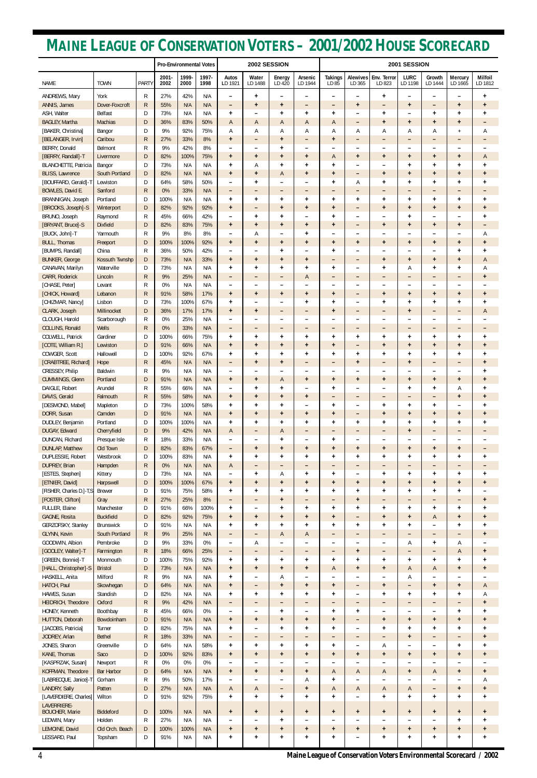|                                                       |                                |                              | <b>Pro-Environmental Votes</b> |               | 2002 SESSION  |                                                      |                                       | 2001 SESSION              |                                       |                                       |                           |                                                                    |                                |                        |                                       |                                   |
|-------------------------------------------------------|--------------------------------|------------------------------|--------------------------------|---------------|---------------|------------------------------------------------------|---------------------------------------|---------------------------|---------------------------------------|---------------------------------------|---------------------------|--------------------------------------------------------------------|--------------------------------|------------------------|---------------------------------------|-----------------------------------|
| <b>NAME</b>                                           | <b>TOWN</b>                    | <b>PARTY</b>                 | $2001 -$<br>2002               | 1999-<br>2000 | 1997-<br>1998 | Autos<br>LD 1921                                     | Water<br>LD 1488                      | Energy<br>LD 420          | Arsenic<br>LD 1944                    | <b>Takings</b><br>LD 85               | <b>Alewives</b><br>LD 365 | Env. Terror<br>LD 823                                              | <b>LURC</b><br>LD 1198         | Growth<br>LD 1444      | Mercury<br>LD 1665                    | <b>Milfoil</b><br>LD 1812         |
| ANDREWS, Mary                                         | York                           | R                            | 27%                            | 42%           | N/A           | $\overline{\phantom{0}}$                             | $\ddot{}$                             |                           | -                                     | $\overline{\phantom{a}}$              | -                         | $\ddot{}$                                                          | $\overline{\phantom{0}}$       | -                      | $\overline{\phantom{m}}$              | ÷                                 |
| ANNIS, James                                          | Dover-Foxcroft                 | R                            | 55%                            | N/A           | N/A           | $\qquad \qquad -$                                    | $\ddot{}$                             | $\ddot{}$                 | -                                     | $\qquad \qquad -$                     | $\ddot{}$                 | $\qquad \qquad =$                                                  | $\ddot{}$                      | $\qquad \qquad -$      | $\ddot{}$                             | $\ddot{}$                         |
| ASH, Walter<br><b>BAGLEY, Martha</b>                  | Belfast<br>Machias             | D<br>D                       | 73%<br>36%                     | N/A<br>83%    | N/A<br>50%    | $\ddot{}$<br>$\overline{A}$                          | A                                     | $\ddot{}$<br>А            | $\ddot{}$<br>A                        | $\ddot{}$<br>A                        | -                         | $\ddot{}$<br>$\ddot{}$                                             | -<br>$\ddot{}$                 | $\ddot{}$<br>$\ddot{}$ | $\ddot{}$<br>$\ddot{}$                | $\pmb{+}$                         |
| [BAKER, Christina]                                    | Bangor                         | D                            | 9%                             | 92%           | 75%           | Α                                                    | Α                                     | А                         | Α                                     | Α                                     | -<br>Α                    | Α                                                                  | Α                              | Α                      | $\overline{+}$                        | -<br>Α                            |
| [BELANGER, Irvin]                                     | Caribou                        | R                            | 27%                            | 33%           | 8%            | $\ddot{}$                                            | $\overline{\phantom{0}}$              | $\ddot{}$                 | -                                     | $\ddot{}$                             | -                         | -                                                                  | $\qquad \qquad -$              | -                      | -                                     | -                                 |
| BERRY, Donald                                         | Belmont                        | $\mathsf{R}$                 | 9%                             | 42%           | 8%            | $\qquad \qquad$                                      | $\overline{\phantom{0}}$              | <sup>+</sup>              | -                                     | $\overline{\phantom{0}}$              | -                         | $\qquad \qquad -$                                                  | -                              | -                      | -                                     |                                   |
| [BERRY, Randall]-T                                    | Livermore                      | D                            | 82%                            | 100%          | 75%           | $\ddot{}$                                            | $\ddot{}$                             | $\ddot{}$                 | $\ddot{}$                             | A                                     | $+$                       | $\ddot{}$                                                          | $\ddot{}$                      | $\ddot{}$              | $\ddot{}$                             | A                                 |
| <b>BLANCHETTE, Patricia</b><br><b>BLISS, Lawrence</b> | Bangor<br>South Portland       | D<br>D                       | 73%<br>82%                     | N/A<br>N/A    | N/A<br>N/A    | $\ddot{}$<br>$\ddot{}$                               | Α<br>$\ddot{}$                        | Ŧ<br>А                    | $\ddot{}$<br>$\ddot{}$                | $\ddot{}$<br>$\ddot{}$                | -<br>-                    | $\qquad \qquad -$<br>$\ddot{}$                                     | $\ddot{}$<br>$\ddot{}$         | $\ddot{}$<br>$\ddot{}$ | $\ddot{}$<br>$\ddot{}$                | $\pmb{+}$<br>$\ddot{}$            |
| [BOUFFARD, Gerald]-T                                  | Lewiston                       | D                            | 64%                            | 58%           | 50%           | ۰                                                    | $\ddot{}$                             |                           |                                       | $\ddot{}$                             | А                         | $\ddot{}$                                                          | $\ddot{}$                      | $\ddot{}$              | $\ddot{}$                             | ÷                                 |
| BOWLES, David E.                                      | Sanford                        | $\mathsf{R}$                 | 0%                             | 33%           | N/A           | $\overline{\phantom{0}}$                             | $\overline{\phantom{0}}$              | -                         | -                                     | -                                     | -                         | $\qquad \qquad -$                                                  | $\qquad \qquad -$              | -                      | -                                     | $\qquad \qquad -$                 |
| BRANNIGAN, Joseph                                     | Portland                       | D                            | 100%                           | N/A           | N/A           | $\ddot{}$                                            | $\ddot{}$                             | $\ddot{}$                 | $\ddot{}$                             | $\ddot{}$                             | $\ddot{}$                 | $\ddot{}$                                                          | $\ddot{}$                      | $\pmb{+}$              | $\ddot{}$                             | $\ddot{}$                         |
| [BROOKS, Joseph]-S                                    | Winterport                     | D                            | 82%                            | 92%           | 92%           | $\ddot{}$                                            | $\overline{\phantom{m}}$              | $+$                       | $+$                                   | $\ddot{}$                             | -                         | $\ddot{}$                                                          | $\ddot{}$                      | $+$                    | $\ddot{}$                             | $\ddot{}$                         |
| BRUNO, Joseph<br>[BRYANT, Bruce]-S                    | Raymond<br><b>Dixfield</b>     | R<br>D                       | 45%<br>82%                     | 66%<br>83%    | 42%<br>75%    | $\overline{\phantom{0}}$                             | $\ddot{}$                             | ÷                         | -                                     | $\ddot{}$                             | -                         | $\overline{\phantom{0}}$                                           | $\ddot{}$                      | -                      | -<br>$+$                              | ÷                                 |
| [BUCK, John]-T                                        | Yarmouth                       | R                            | 9%                             | 8%            | 8%            | $\ddot{}$<br>$\overline{\phantom{0}}$                | $\ddot{}$<br>Α                        | $\ddot{}$                 | $\ddot{}$<br>$\ddot{}$                | $\ddot{}$<br>$\overline{\phantom{0}}$ | -<br>-                    | $\ddot{}$<br>-                                                     | $\ddot{}$<br>-                 | $\ddot{}$<br>-         | -                                     | $\qquad \qquad \blacksquare$<br>Α |
| <b>BULL, Thomas</b>                                   | Freeport                       | D                            | 100%                           | 100%          | 92%           | $\ddot{}$                                            | $\ddot{}$                             | $\ddot{}$                 | $\ddot{}$                             | $\ddot{}$                             | $+$                       | $\ddot{}$                                                          | $\ddot{}$                      | $\ddot{}$              | $\ddot{}$                             | $\ddot{}$                         |
| [BUMPS, Randall]                                      | China                          | $\mathsf{R}$                 | 36%                            | 50%           | 42%           | $\overline{\phantom{0}}$                             |                                       | $\ddot{}$                 |                                       | $\ddot{}$                             | -                         | $\overline{\phantom{0}}$                                           | -                              | -                      | $\ddot{}$                             | $\ddot{}$                         |
| <b>BUNKER, George</b>                                 | Kossuth Twnshp                 | D                            | 73%                            | N/A           | 33%           | $\ddot{}$                                            | $\ddot{}$                             | $\ddot{}$                 | $\ddot{}$                             | -                                     | -                         | $\ddot{}$                                                          | $\ddot{}$                      | $\ddot{}$              | $\ddot{}$                             | A                                 |
| CANAVAN, Marilyn                                      | Waterville                     | D                            | 73%                            | N/A           | N/A           | $\ddot{}$                                            | $\ddot{}$                             | <sup>+</sup>              | $\ddot{}$                             | $\ddot{}$                             | -                         | $\ddot{}$                                                          | Α                              | $\ddot{}$              | $\ddot{}$                             | Α                                 |
| CARR, Roderick<br>[CHASE, Peter]                      | Lincoln<br>Levant              | $\mathsf{R}$<br>$\mathsf{R}$ | 9%<br>0%                       | 25%<br>N/A    | N/A<br>N/A    | $\overline{\phantom{0}}$<br>$\overline{\phantom{0}}$ |                                       |                           | A                                     | $\qquad \qquad -$                     | -<br>-                    | $\qquad \qquad -$<br>-                                             | -<br>-                         | -<br>-                 | -<br>-                                | $\ddot{}$                         |
| [CHICK, Howard]                                       | Lebanon                        | R                            | 91%                            | 58%           | 17%           | $\ddot{}$                                            | $\ddot{}$                             | $\ddot{}$                 | $\ddot{}$                             | $\overline{\phantom{0}}$<br>$\ddot{}$ | -                         | $\ddot{}$                                                          | $\ddot{}$                      | $\ddot{}$              | $\ddot{}$                             | $\ddot{}$                         |
| [CHIZMAR, Nancy]                                      | Lisbon                         | D                            | 73%                            | 100%          | 67%           | $\ddot{}$                                            |                                       |                           | $\ddot{}$                             | $\ddot{}$                             | -                         | $\ddot{}$                                                          | $\ddot{}$                      | $\ddot{}$              | $\ddot{}$                             | $\pmb{+}$                         |
| CLARK, Joseph                                         | Millinocket                    | D                            | 36%                            | 17%           | 17%           | $\ddot{}$                                            | $\ddot{}$                             | -                         | -                                     | $\ddot{}$                             | -                         | $\qquad \qquad -$                                                  | $\ddot{}$                      | -                      | -                                     | A                                 |
| CLOUGH, Harold                                        | Scarborough                    | R                            | 0%                             | 25%           | N/A           | $\overline{\phantom{0}}$                             | -                                     |                           | -                                     | ۰                                     | -                         | -                                                                  | -                              | -                      | -                                     |                                   |
| COLLINS, Ronald                                       | <b>Wells</b>                   | $\mathsf{R}$                 | 0%                             | 33%           | N/A           | $\overline{\phantom{0}}$                             | -                                     | -                         | -                                     | $\qquad \qquad -$                     | -                         | $\qquad \qquad -$                                                  | -                              | -                      | -                                     | ۰                                 |
| COLWELL, Patrick<br>[COTE, William R.]                | Gardiner<br>Lewiston           | D<br>D                       | 100%<br>91%                    | 66%<br>66%    | 75%<br>N/A    | $\ddot{}$<br>$+$                                     | $\ddot{}$<br>$\ddot{}$                | ÷<br>$+$                  | $\ddot{}$<br>$\ddot{}$                | $\ddot{}$<br>$\ddot{}$                | $\ddot{}$<br>-            | $\ddot{}$<br>$\ddot{}$                                             | $\ddot{}$<br>$\ddot{}$         | $\pmb{+}$<br>$\ddot{}$ | $\ddot{}$<br>$\ddot{}$                | +<br>$+$                          |
| COWGER, Scott                                         | Hallowell                      | D                            | 100%                           | 92%           | 67%           | ÷                                                    | $\ddot{}$                             | ÷                         | $\ddot{}$                             | $\ddot{}$                             | +                         | $\ddot{}$                                                          | ÷                              | +                      | $\ddot{}$                             | ÷                                 |
| [CRABTREE, Richard]                                   | Hope                           | $\mathsf{R}$                 | 45%                            | N/A           | N/A           | $\overline{\phantom{a}}$                             | $\ddot{}$                             | $\ddot{}$                 | -                                     | $\qquad \qquad -$                     | $\ddot{}$                 | $\qquad \qquad =$                                                  | $\ddot{}$                      | -                      | -                                     | $\ddot{}$                         |
| CRESSEY, Philip                                       | <b>Baldwin</b>                 | R                            | 9%                             | N/A           | N/A           | $\qquad \qquad$                                      |                                       |                           | -                                     | $\overline{\phantom{0}}$              |                           | $\overline{\phantom{0}}$                                           | -                              | -                      | -                                     | +                                 |
| CUMMINGS, Glenn                                       | Portland                       | D                            | 91%                            | N/A           | N/A           | $\ddot{}$                                            | $\ddot{}$                             | A                         | $\ddot{}$                             | $\ddot{}$                             | $\ddot{}$                 | $\ddot{}$                                                          | $\ddot{}$                      | $\ddot{}$              | $\ddot{}$                             | $\pmb{+}$                         |
| DAIGLE, Robert                                        | Arundel                        | $\mathsf{R}$                 | 55%                            | 66%           | N/A           | $\overline{\phantom{0}}$                             | $\ddot{}$                             | <sup>+</sup>              | -                                     | $\ddot{}$                             | -                         | $\overline{\phantom{m}}$                                           | $\ddot{}$                      | $\ddot{}$              | А                                     | $\ddot{}$                         |
| DAVIS, Gerald<br>[DESMOND, Mabel]                     | Falmouth<br>Mapleton           | $\mathsf{R}$<br>D            | 55%<br>73%                     | 58%<br>100%   | N/A<br>58%    | $\ddot{}$<br>$\ddot{}$                               | $\ddot{}$<br>$\ddot{}$                | $\ddot{}$<br>$\ddot{}$    | $\ddot{}$<br>-                        | $\qquad \qquad -$<br>$\ddot{}$        | -<br>-                    | $\qquad \qquad -$<br>$\ddot{}$                                     | -<br>$\ddot{}$                 | -<br>$\ddot{}$         | $\ddot{}$<br>-                        | $\ddot{}$<br>$\pmb{+}$            |
| DORR, Susan                                           | Camden                         | D                            | 91%                            | N/A           | N/A           | $\ddot{}$                                            | $+$                                   | $+$                       | $\ddot{}$                             | $\ddot{}$                             | -                         | $\ddot{}$                                                          | $\ddot{}$                      | $\ddot{}$              | $+$                                   | $\ddot{}$                         |
| DUDLEY, Benjamin                                      | Portland                       | D                            | 100%                           | 100%          | N/A           | $\ddot{}$                                            | $\ddot{}$                             | $\ddot{}$                 | $\ddot{}$                             | $\ddot{}$                             | $\ddot{}$                 | $\ddot{}$                                                          | $\ddot{}$                      | $\ddot{}$              | $\ddot{}$                             | $\pmb{+}$                         |
| DUGAY, Edward                                         | Cherryfield                    | D                            | 9%                             | 42%           | N/A           | A                                                    | $\qquad \qquad -$                     | А                         | -                                     | $\qquad \qquad -$                     | -                         | $\qquad \qquad =$                                                  | $\ddot{}$                      | -                      | $\qquad \qquad -$                     | $\qquad \qquad -$                 |
| DUNCAN, Richard                                       | Presque Isle                   | R                            | 18%                            | 33%           | N/A           | ۰                                                    |                                       | $\ddot{}$                 |                                       | $\ddot{}$                             |                           | -                                                                  |                                | -                      |                                       |                                   |
| <b>DUNLAP, Matthew</b><br>DUPLESSIE, Robert           | Old Town<br>Westbrook          | D<br>D                       | 82%<br>100%                    | 83%<br>83%    | 67%<br>N/A    | $\overline{\phantom{0}}$                             | $\ddot{}$                             | $\ddot{}$                 | $\ddot{}$                             | $\ddot{}$                             | $\ddot{}$                 | $\ddot{}$                                                          | $\ddot{}$                      | $\pmb{+}$              | $\ddot{}$                             | -                                 |
| <b>DUPREY, Brian</b>                                  | Hampden                        | $\mathsf{R}$                 | 0%                             | N/A           | N/A           | $\ddot{}$<br>A                                       | $\ddot{}$<br>-                        | <sup>+</sup><br>-         | $\ddot{}$<br>-                        | $\ddot{}$<br>$\qquad \qquad -$        | $\ddot{}$<br>-            | $\ddot{}$<br>$\qquad \qquad -$                                     | $\ddot{}$<br>$\qquad \qquad -$ | $\ddot{}$<br>-         | $\ddot{}$<br>$\qquad \qquad -$        | $\ddot{}$                         |
| [ESTES, Stephen]                                      | Kittery                        | D                            | 73%                            | N/A           | N/A           | $\overline{\phantom{0}}$                             | $\ddot{}$                             | Α                         | ÷                                     | $\ddot{}$                             | -                         | $\ddot{}$                                                          | $\ddot{}$                      | $\ddot{}$              | $\ddot{}$                             | $\pmb{+}$                         |
| [ETNIER, David]                                       | Harpswell                      | D                            | 100%                           | 100%          | 67%           | $\ddot{}$                                            | $\ddot{}$                             | $\ddot{}$                 | $\ddot{}$                             | $\ddot{}$                             | $\ddot{}$                 | $\ddot{}$                                                          | $\ddot{}$                      | $\ddot{}$              | $\ddot{}$                             | $\ddot{}$                         |
| [FISHER, Charles D.]-T,S                              | <b>Brewer</b>                  | D                            | 91%                            | 75%           | 58%           | $\ddot{}$                                            | $\ddot{}$                             | $\ddot{}$                 | $\ddot{}$                             | $\ddot{}$                             | $\ddot{}$                 | $\ddot{}$                                                          | $\ddot{}$                      | $\ddot{}$              | $\ddot{}$                             |                                   |
| [FOSTER, Clifton]                                     | Gray                           | $\mathsf{R}$                 | 27%                            | 25%           | 8%            | $\qquad \qquad -$                                    | $\overline{\phantom{0}}$              | $\ddot{}$                 | -                                     | $\qquad \qquad -$                     | $\ddot{}$                 | $\qquad \qquad =$                                                  | -                              | -                      | $\qquad \qquad -$                     | $\ddot{}$                         |
| FULLER, Elaine<br>GAGNE, Rosita                       | Manchester<br><b>Buckfield</b> | D<br>D                       | 91%<br>82%                     | 66%<br>92%    | 100%<br>75%   | $\ddot{}$<br>$\ddot{}$                               | $\ddot{}$                             | <sup>+</sup><br>$\ddot{}$ | $\ddot{}$<br>$\ddot{}$                | $\ddot{}$<br>$\ddot{}$                | $\ddot{}$<br>-            | $\ddot{}$<br>$\ddot{}$                                             | $\ddot{}$<br>$\ddot{}$         | $\ddot{}$<br>A         | $\ddot{}$<br>$\ddot{}$                | ÷<br>$\pmb{+}$                    |
| GERZOFSKY, Stanley                                    | Brunswick                      | D                            | 91%                            | N/A           | N/A           | $\ddot{}$                                            | $\ddot{}$                             | $\ddot{}$                 | $\ddot{}$                             | $\ddot{}$                             | $\ddot{}$                 | $\ddot{}$                                                          | $\ddot{}$                      | -                      | $\ddot{}$                             | $\ddot{}$                         |
| GLYNN, Kevin                                          | South Portland                 | $\mathsf{R}$                 | 9%                             | 25%           | N/A           | $\overline{\phantom{0}}$                             | $\overline{\phantom{0}}$              | A                         | A                                     | $\qquad \qquad -$                     | -                         | $\qquad \qquad -$                                                  | -                              | -                      | -                                     | $\ddot{}$                         |
| GOODWIN, Albion                                       | Pembroke                       | D                            | 9%                             | 33%           | 0%            | $\overline{\phantom{0}}$                             | Α                                     |                           | -                                     | $\overline{\phantom{0}}$              |                           | $\overline{\phantom{m}}$                                           | Α                              | $\ddot{}$              | Α                                     |                                   |
| [GOOLEY, Walter]-T                                    | Farmington                     | R.                           | 18%                            | 66%           | 25%           | $\overline{\phantom{a}}$                             | $\overline{\phantom{0}}$              | -                         | -                                     | $\qquad \qquad -$                     | $\ddot{}$                 | $\qquad \qquad =$                                                  | -                              | -                      | A                                     | $\ddot{}$                         |
| [GREEN, Bonnie]-T                                     | Monmouth                       | D                            | 100%                           | 75%           | 92%           | $\ddot{}$                                            | $\ddot{}$                             | ÷                         | $\ddot{}$                             | $\ddot{}$                             | $\pmb{+}$                 | $\ddot{}$                                                          | $\ddot{}$                      | $\ddot{}$              | $\ddot{}$                             | +                                 |
| [HALL, Christopher]-S<br>HASKELL, Anita               | <b>Bristol</b><br>Milford      | D<br>R                       | 73%<br>9%                      | N/A<br>N/A    | N/A<br>N/A    | $\ddot{}$<br>$\ddot{}$                               | $\ddot{}$<br>$\overline{\phantom{a}}$ | $\ddot{}$<br>Α            | $\ddot{}$<br>$\overline{\phantom{0}}$ | A<br>$\overline{\phantom{m}}$         | $+$<br>-                  | $\ddot{}$<br>$\qquad \qquad -$                                     | A<br>Α                         | $\mathsf{A}$<br>-      | $\ddot{}$<br>$\overline{\phantom{m}}$ | $\ddot{}$                         |
| HATCH, Paul                                           | Skowhegan                      | D                            | 64%                            | N/A           | N/A           | $\ddot{}$                                            | $\qquad \qquad -$                     | $\ddot{}$                 | $\ddot{}$                             | $\ddot{}$                             | -                         | $\ddot{}$                                                          | -                              | $\ddot{}$              | $\ddot{}$                             | $\mathsf{A}$                      |
| HAWES, Susan                                          | Standish                       | D                            | 82%                            | N/A           | N/A           | $\ddot{}$                                            | $\ddot{}$                             | $\ddot{}$                 | $\ddot{}$                             | $\ddot{}$                             | -                         | $\ddot{}$                                                          | $\ddot{}$                      | $\ddot{}$              | $\ddot{}$                             | Α                                 |
| HEIDRICH, Theodore                                    | Oxford                         | $\mathsf{R}$                 | 9%                             | 42%           | N/A           | $\overline{\phantom{0}}$                             | -                                     |                           | -                                     | $\qquad \qquad -$                     | -                         | $\qquad \qquad -$                                                  | -                              | -                      | -                                     | $\ddot{}$                         |
| HONEY, Kenneth                                        | Boothbay                       | R                            | 45%                            | 66%           | 0%            | $\qquad \qquad$                                      | $\overline{\phantom{0}}$              | <sup>+</sup>              | -                                     | $\ddot{}$                             | $\ddot{}$                 | $\overline{\phantom{m}}$                                           | -                              | -                      | $\ddot{}$                             | $\ddot{}$                         |
| HUTTON, Deborah                                       | Bowdoinham                     | D                            | 91%                            | N/A           | N/A           | $\ddot{}$                                            | $\ddot{}$                             | $\ddot{}$                 | $\ddot{}$                             | $\ddot{}$                             | -                         | $\ddot{}$                                                          | $\ddot{}$                      | $\ddot{}$              | $\ddot{}$                             | $\ddot{}$                         |
| [JACOBS, Patricia]<br>JODREY, Arlan                   | Turner<br><b>Bethel</b>        | D<br>$\mathsf{R}$            | 82%<br>18%                     | 75%<br>33%    | N/A<br>N/A    | $\ddot{}$<br>-                                       | $\overline{\phantom{a}}$              | <sup>+</sup><br>-         | $\ddot{}$<br>-                        | $\ddot{}$<br>$\qquad \qquad -$        | -<br>-                    | $\ddot{}$<br>$\qquad \qquad -$                                     | $\ddot{}$<br>$\ddot{}$         | $\ddot{}$<br>-         | $\ddot{}$                             | $\pmb{+}$<br>$\ddot{}$            |
| JONES, Sharon                                         | Greenville                     | D                            | 64%                            | N/A           | 58%           | $\ddot{}$                                            |                                       | ÷                         | ÷.                                    | $\ddot{}$                             |                           | A                                                                  |                                |                        | ÷                                     |                                   |
| KANE, Thomas                                          | Saco                           | D                            | 100%                           | 92%           | 83%           | $\ddot{}$                                            | $\ddot{}$                             | $\ddot{}$                 | $\ddot{}$                             | $\ddot{}$                             | $\ddot{}$                 | $\ddot{}$                                                          | $\ddot{}$                      | $\ddot{}$              | $\ddot{}$                             | $\ddot{}$                         |
| [KASPRZAK, Susan]                                     | Newport                        | R                            | 0%                             | 0%            | 0%            | -                                                    |                                       |                           |                                       | -                                     |                           | $\qquad \qquad -$                                                  | $\qquad \qquad -$              | -                      | -                                     |                                   |
| KOFFMAN, Theodore                                     | <b>Bar Harbor</b>              | D                            | 64%                            | N/A           | N/A           | $\ddot{}$                                            | $\ddot{}$                             | $\ddot{}$                 | $\ddot{}$                             | A                                     | A                         | $\mathsf{A}$                                                       | $\ddot{}$                      | $\mathsf{A}$           | $\ddot{}$                             | $\ddot{}$                         |
| [LABRECQUE, Janice]-T<br><b>LANDRY, Sally</b>         | Gorham<br>Patten               | R<br>D                       | 9%<br>27%                      | 50%<br>N/A    | 17%<br>N/A    | $\qquad \qquad$<br>$\overline{A}$                    | A                                     | -                         | Α<br>$\ddot{}$                        | $\ddot{}$<br>A                        | -<br>Α                    | $\overline{\phantom{m}}$                                           | -<br>$\mathsf{A}$              | -<br>-                 | -<br>$\ddot{}$                        | Α<br>$\ddot{}$                    |
| [LAVERDIERE, Charles]                                 | Wilton                         | D                            | 91%                            | 92%           | 75%           | $\ddot{}$                                            | $\ddot{}$                             | $\ddot{}$                 | $\ddot{}$                             | $\ddot{}$                             | -                         | A<br>$\ddot{}$                                                     | $\ddot{}$                      | $+$                    | $\ddot{}$                             | $\pmb{+}$                         |
| LAVERRIERE-                                           |                                |                              |                                |               |               |                                                      |                                       |                           |                                       |                                       |                           |                                                                    |                                |                        |                                       |                                   |
| <b>BOUCHER, Marie</b>                                 | <b>Biddeford</b>               | D                            | 100%                           | N/A           | N/A           | $\ddot{}$                                            | $\ddot{}$                             | $\ddot{}$                 | $\ddot{}$                             | $\ddot{}$                             | $\ddot{}$                 | $\ddot{}$                                                          | $\ddot{}$                      | $\ddot{}$              | $\ddot{}$                             | $\ddot{}$                         |
| LEDWIN, Mary<br>LEMOINE, David                        | Holden<br>Old Orch. Beach      | R<br>D                       | 27%<br>100%                    | N/A<br>100%   | N/A           | $\qquad \qquad$                                      |                                       | <sup>+</sup>              |                                       | $\overline{\phantom{0}}$              |                           | $\overline{\phantom{m}}$                                           | -                              | -                      | $\ddot{}$                             | +                                 |
| LESSARD, Paul                                         | Topsham                        | D                            | 91%                            | N/A           | N/A<br>N/A    | $\ddot{}$<br>$\ddot{}$                               | $\ddot{}$<br>$\ddot{}$                | $\ddot{}$<br>÷            | $\ddot{}$<br>$\ddot{}$                | $\ddot{}$<br>$\ddot{}$                | $\ddot{}$<br>-            | $\ddot{}$<br>$\ddot{}$                                             | $\ddot{}$<br>÷                 | $\ddot{}$<br>$\ddot{}$ | $\pmb{+}$<br>$\ddot{}$                | $\ddot{}$<br>$\ddot{}$            |
|                                                       |                                |                              |                                |               |               |                                                      |                                       |                           |                                       |                                       |                           |                                                                    |                                |                        |                                       |                                   |
| 4                                                     |                                |                              |                                |               |               |                                                      |                                       |                           |                                       |                                       |                           | Maine League of Conservation Voters Environmental Scorecard / 2002 |                                |                        |                                       |                                   |

# **MAINE LEAGUE OF CONSERVATION VOTERS – 2001/2002 HOUSE SCORECARD**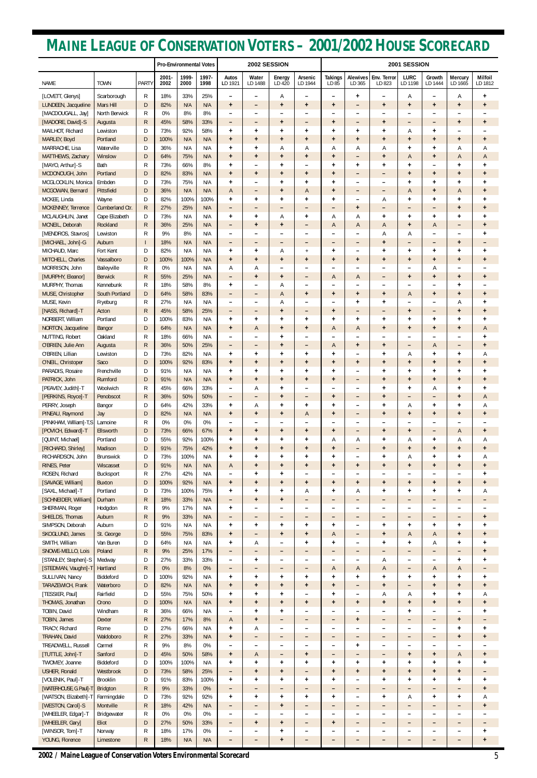|                                                  |                             |                              | <b>Pro-Environmental Votes</b> |               |               | 2002 SESSION                                         |                                |                                               | 2001 SESSION                                  |                          |                                             |                        |                                       |                              |                                       |                        |
|--------------------------------------------------|-----------------------------|------------------------------|--------------------------------|---------------|---------------|------------------------------------------------------|--------------------------------|-----------------------------------------------|-----------------------------------------------|--------------------------|---------------------------------------------|------------------------|---------------------------------------|------------------------------|---------------------------------------|------------------------|
| <b>NAME</b>                                      | <b>TOWN</b>                 | <b>PARTY</b>                 | $2001 -$<br>2002               | 1999-<br>2000 | 1997-<br>1998 | Autos<br>LD 1921                                     | Water<br>LD 1488               | Energy<br>LD 420                              | Arsenic<br>LD 1944                            | <b>Takings</b><br>LD 85  | <b>Alewives</b><br>LD 365                   | Env. Terror<br>LD 823  | <b>LURC</b><br>LD 1198                | Growth<br>LD 1444            | Mercury<br>LD 1665                    | Milfoil<br>LD 1812     |
| [LOVETT, Glenys]                                 | Scarborough                 | R                            | 18%                            | 33%           | 25%           | $\qquad \qquad -$                                    | -                              | Α                                             | $\overline{\phantom{0}}$                      |                          | $\ddot{}$                                   | -                      | Α                                     | $\qquad \qquad -$            | Α                                     | $\ddot{}$              |
| LUNDEEN, Jacqueline                              | Mars Hill                   | D                            | 82%                            | N/A           | N/A           | $\ddot{}$                                            | -                              | $\ddot{}$                                     | $\ddot{}$                                     | $\ddot{}$                | $\overline{\phantom{m}}$                    | $\ddot{}$              | $\ddot{}$                             | $\ddot{}$                    | $+$                                   | $\ddot{}$              |
| [MACDOUGALL, Jay]<br>[MADORE, David]-S           | North Berwick<br>Augusta    | R<br>$\mathsf{R}$            | 0%<br>45%                      | 8%<br>58%     | 8%<br>33%     | $\overline{\phantom{0}}$<br>$\overline{\phantom{m}}$ | $\overline{\phantom{0}}$<br>-  | $\overline{\phantom{0}}$<br>$\ddot{}$         | $\overline{\phantom{0}}$<br>$\qquad \qquad -$ | $\ddot{}$                | $\qquad \qquad \blacksquare$                | $\ddot{}$              | -<br>-                                | ۰<br>-                       | $\overline{\phantom{0}}$<br>$\ddot{}$ | $\pmb{+}$              |
| MAILHOT, Richard                                 | Lewiston                    | D                            | 73%                            | 92%           | 58%           | $\ddot{}$                                            | $\ddot{}$                      | $\ddot{}$                                     | $\ddot{}$                                     | $\ddot{}$                | $\ddot{}$                                   | $\ddot{}$              | Α                                     | $\ddot{}$                    | -                                     |                        |
| MARLEY, Boyd                                     | Portland                    | D                            | 100%                           | N/A           | N/A           | $+$                                                  | $\ddot{}$                      | $\ddot{}$                                     | $\ddot{}$                                     | $+$                      | $\ddot{}$                                   | $\ddot{}$              | $\ddot{}$                             | $\ddot{}$                    | $+$                                   | $\ddot{}$              |
| MARRACHE, Lisa                                   | Waterville<br>Winslow       | D<br>D                       | 36%<br>64%                     | N/A<br>75%    | N/A           | $\ddot{}$                                            | $\ddot{}$                      | Α                                             | Α                                             | Α                        | Α                                           | А                      | $\ddot{}$                             | $\ddot{}$                    | Α                                     | Α                      |
| MATTHEWS, Zachary<br>[MAYO, Arthur]-S            | Bath                        | R                            | 73%                            | 66%           | N/A<br>8%     | $\ddot{}$<br>$\ddot{}$                               | $\ddot{}$<br>$\qquad \qquad -$ | $\ddot{}$<br>$\ddot{}$                        | $\ddot{}$<br>$\qquad \qquad -$                | $\ddot{}$<br>$\ddot{}$   | $\overline{\phantom{m}}$<br>$\ddot{}$       | $\ddot{}$<br>$\ddot{}$ | A<br>$\ddot{}$                        | $\ddot{}$<br>$\qquad \qquad$ | A<br>$+$                              | A<br>$\pmb{+}$         |
| MCDONOUGH, John                                  | Portland                    | D                            | 82%                            | 83%           | N/A           | $\ddot{}$                                            | $\ddot{}$                      | $\ddot{}$                                     | $\ddot{}$                                     | $\ddot{}$                | -                                           | -                      | $\ddot{}$                             | $\ddot{}$                    | $\ddot{}$                             | $\ddot{}$              |
| MCGLOCKLIN, Monica                               | Embden                      | D                            | 73%                            | 75%           | N/A           | $\ddot{}$                                            | ۰                              | $\ddot{}$                                     | $\ddot{}$                                     | $\ddot{}$                | -                                           | -                      | $\ddot{}$                             | $\ddot{}$                    | $\ddot{}$                             | $\ddot{}$              |
| MCGOWAN, Bernard<br>MCKEE, Linda                 | Pittsfield<br>Wayne         | D<br>D                       | 36%<br>82%                     | N/A<br>100%   | N/A<br>100%   | A<br>$\ddot{}$                                       | -<br>$\ddot{}$                 | $\ddot{}$<br>$\ddot{}$                        | A<br>$\ddot{}$                                | $\ddot{}$<br>$\ddot{}$   | -<br>$\qquad \qquad$                        | -<br>Α                 | Α<br>$\ddot{}$                        | $\ddot{}$<br>$\ddot{}$       | A<br>$\ddot{}$                        | $\pmb{+}$<br>$\pmb{+}$ |
| MCKENNEY, Terrence                               | Cumberland Ctr.             | R                            | 27%                            | 25%           | N/A           | $\qquad \qquad -$                                    | $\qquad \qquad -$              | $\qquad \qquad -$                             | $\qquad \qquad -$                             | ۰                        | $\ddot{}$                                   | -                      | -                                     | $\overline{\phantom{0}}$     | $+$                                   | $\ddot{}$              |
| MCLAUGHLIN, Janet                                | Cape Elizabeth              | D                            | 73%                            | N/A           | N/A           | $\ddot{}$                                            | $\ddot{}$                      | Α                                             | $\ddot{}$                                     | Α                        | Α                                           | $\ddot{}$              | $\ddot{}$                             | $\ddot{}$                    | $\ddot{}$                             | ÷                      |
| MCNEIL, Deborah                                  | Rockland                    | $\mathsf{R}$                 | 36%                            | 25%           | N/A           | -                                                    | $\ddot{}$                      | $\ddot{}$                                     | -                                             | A                        | A                                           | А                      | $\ddot{}$                             | A                            | $\qquad \qquad -$                     | $\ddot{}$              |
| [MENDROS, Stavros]<br>[MICHAEL, John]-G          | Lewiston<br>Auburn          | $\mathsf{R}$<br>$\mathsf{l}$ | 9%<br>18%                      | 8%<br>N/A     | N/A<br>N/A    | $\qquad \qquad -$<br>$\overline{\phantom{m}}$        | ۰<br>-                         | $\overline{\phantom{0}}$<br>$\qquad \qquad -$ | -<br>-                                        | $\qquad \qquad -$        | $\overline{\phantom{0}}$                    | А<br>$\ddot{}$         | Α<br>-                                | ۰<br>-                       | $\overline{\phantom{0}}$<br>$+$       | +<br>-                 |
| MICHAUD, Marc                                    | Fort Kent                   | D                            | 82%                            | N/A           | N/A           | $\ddot{}$                                            | $\ddot{}$                      | Α                                             | $\overline{+}$                                | $\ddot{}$                | $\overline{\phantom{0}}$                    | $\ddot{}$              | $\ddot{}$                             | $\ddot{}$                    | $\ddot{}$                             | $\ddot{}$              |
| MITCHELL, Charles                                | Vassalboro                  | D                            | 100%                           | 100%          | N/A           | $\ddot{}$                                            | $\ddot{}$                      | $\ddot{}$                                     | $\ddot{}$                                     | $\ddot{}$                | $\ddot{}$                                   | <sup>+</sup>           | $\ddot{}$                             | $\ddot{}$                    | $\ddot{}$                             | $\ddot{}$              |
| MORRISON, John                                   | Baileyville                 | $\mathsf{R}$                 | 0%                             | N/A           | N/A           | Α                                                    | Α                              | $\qquad \qquad -$                             | $\qquad \qquad -$                             |                          |                                             |                        | ۰                                     | Α                            | $\overline{\phantom{a}}$              |                        |
| [MURPHY, Eleanor]<br>MURPHY, Thomas              | <b>Berwick</b><br>Kennebunk | $\mathsf{R}$<br>R            | 55%<br>18%                     | 25%<br>58%    | N/A<br>8%     | $\overline{\phantom{m}}$<br>$\ddot{}$                | $\ddot{}$<br>۰                 | $\ddot{}$<br>Α                                | -<br>$\overline{\phantom{0}}$                 | A                        | A                                           | -<br>-                 | $\ddot{}$<br>$\overline{\phantom{0}}$ | $\ddot{}$<br>۰               | $+$<br>$\ddot{}$                      | $\ddot{}$              |
| MUSE, Christopher                                | <b>South Portland</b>       | D                            | 64%                            | 58%           | 83%           | $\overline{\phantom{m}}$                             | -                              | A                                             | $\ddot{}$                                     | $\ddot{}$                | $\ddot{}$                                   | $\ddot{}$              | Α                                     | $\ddot{}$                    | $+$                                   | $\ddot{}$              |
| MUSE, Kevin                                      | Fryeburg                    | R                            | 27%                            | N/A           | N/A           | $\qquad \qquad -$                                    | -                              | Α                                             | $\overline{\phantom{0}}$                      |                          | $\ddot{}$                                   | $\ddot{}$              | $\overline{\phantom{0}}$              | $\overline{\phantom{0}}$     | Α                                     | $\ddot{}$              |
| [NASS, Richard]-T                                | Acton                       | $\mathsf{R}$                 | 45%                            | 58%           | 25%           | $\qquad \qquad -$                                    | -                              | $\ddot{}$                                     | $\qquad \qquad -$                             | $\ddot{}$                | $\overline{\phantom{0}}$                    | -                      | $\ddot{}$                             | -                            | $\ddot{}$                             | $\pmb{+}$              |
| NORBERT, William<br>NORTON, Jacqueline           | Portland<br>Bangor          | D<br>D                       | 100%<br>64%                    | 83%<br>N/A    | N/A<br>N/A    | $\ddot{}$<br>$\ddot{}$                               | $\ddot{}$<br>A                 | $\ddot{}$<br>$\ddot{}$                        | $\ddot{}$<br>$\ddot{}$                        | $\ddot{}$<br>Α           | $\ddot{}$<br>A                              | $\ddot{}$<br>$\ddot{}$ | $\ddot{}$<br>$\ddot{}$                | $\ddot{}$<br>$\ddot{}$       | $\ddot{}$<br>$\pm$                    | $\ddot{}$<br>A         |
| NUTTING, Robert                                  | Oakland                     | R                            | 18%                            | 66%           | N/A           | $\qquad \qquad -$                                    | ۰                              | $\ddot{}$                                     | $\overline{\phantom{0}}$                      | $\overline{\phantom{0}}$ |                                             |                        | $\qquad \qquad -$                     | ۰                            | $\overline{\phantom{a}}$              | +                      |
| O'BRIEN, Julie Ann                               | Augusta                     | $\mathsf{R}$                 | 36%                            | 50%           | 25%           | $\qquad \qquad$                                      | $\overline{\phantom{0}}$       | $\ddot{}$                                     | -                                             | A                        | $\ddot{}$                                   | $\ddot{}$              | -                                     | A                            | $\qquad \qquad$                       | $\ddot{}$              |
| O'BRIEN, Lillian                                 | Lewiston                    | D                            | 73%<br>100%                    | 82%           | N/A           | t                                                    | $\ddot{}$                      | ÷                                             | $\ddot{}$                                     | $\ddot{}$                |                                             | ÷                      | Α                                     | ÷                            | ÷                                     | A                      |
| O'NEIL, Christoper<br>PARADIS, Rosaire           | Saco<br>Frenchville         | D<br>D                       | 91%                            | 92%<br>N/A    | 83%<br>N/A    | $\ddot{}$<br>$\ddot{}$                               | $\ddot{}$<br>$\ddot{}$         | $\ddot{}$<br>$\ddot{}$                        | $\ddot{}$<br>$\ddot{}$                        | $\ddot{}$<br>$\ddot{}$   | $\ddot{}$                                   | $\ddot{}$<br>$\ddot{}$ | $\ddot{}$<br>$\ddot{}$                | $\ddot{}$<br>$\ddot{}$       | $\ddot{}$<br>$+$                      | $\ddot{}$<br>$\ddot{}$ |
| PATRICK, John                                    | Rumford                     | D                            | 91%                            | N/A           | N/A           | $\ddot{}$                                            | $\ddot{}$                      | $\ddot{}$                                     | $\ddot{}$                                     | $\ddot{}$                | $\overline{\phantom{m}}$                    | $\ddot{}$              | $\ddot{}$                             | $\ddot{}$                    | $+$                                   | $\pmb{+}$              |
| [PEAVEY, Judith]-T                               | Woolwich                    | R                            | 45%                            | 66%           | 33%           | $\qquad \qquad -$                                    | Α                              | $\ddot{}$                                     | $\overline{\phantom{0}}$                      | -                        | -                                           | $\ddot{}$              | $\ddot{}$                             | Α                            | $\ddot{}$                             | $\ddot{}$              |
| [PERKINS, Royce]-T                               | Penobscot                   | $\mathsf{R}$<br>D            | 36%<br>64%                     | 50%           | 50%           | $\qquad \qquad -$                                    | -                              | $\ddot{}$                                     | -                                             | $\ddot{}$                |                                             | $\ddot{}$              | -                                     | -                            | $+$                                   | A                      |
| PERRY, Joseph<br>PINEAU, Raymond                 | Bangor<br>Jay               | D                            | 82%                            | 42%<br>N/A    | 33%<br>N/A    | $\ddot{}$<br>$+$                                     | Α<br>$\ddot{}$                 | $\ddot{}$<br>$\ddot{}$                        | $\ddot{}$<br>$\overline{A}$                   | ÷<br>$\ddot{}$           | $\overline{\phantom{0}}$<br>-               | $\ddot{}$<br>$\ddot{}$ | Α<br>$\ddot{}$                        | $\ddot{}$<br>$\ddot{}$       | $+$<br>$+$                            | Α<br>$\ddot{}$         |
| [PINKHAM, William]-T,S                           | Lamoine                     | R                            | 0%                             | 0%            | 0%            | -                                                    |                                |                                               |                                               |                          |                                             |                        | -                                     | ۰                            | ۰                                     |                        |
| [POVICH, Edward]-T                               | Ellsworth                   | D                            | 73%                            | 66%           | 67%           | $\ddot{}$                                            | $\ddot{}$                      | $\ddot{}$                                     | $\ddot{}$                                     | $\ddot{}$                | -                                           | $\ddot{}$              | $\ddot{}$                             | -                            | A                                     | $\ddot{}$              |
| [QUINT, Michael]<br>[RICHARD, Shirley]           | Portland<br>Madison         | D<br>D                       | 55%<br>91%                     | 92%<br>75%    | 100%<br>42%   | $\ddot{}$<br>$\ddot{}$                               | $\ddot{}$<br>$\ddot{}$         | $\ddot{}$<br>$\ddot{}$                        | $\ddot{}$<br>$\ddot{}$                        | Α<br>$\ddot{}$           | Α                                           | $\ddot{}$<br>$\ddot{}$ | Α<br>$\ddot{}$                        | $\ddot{}$<br>$\ddot{}$       | Α<br>$\ddot{}$                        | Α<br>$\pmb{+}$         |
| RICHARDSON, John                                 | <b>Brunswick</b>            | D                            | 73%                            | 100%          | N/A           | $\ddot{}$                                            | $\ddot{}$                      | $\ddot{}$                                     | $\ddot{}$                                     | $\ddot{}$                | $\overline{\phantom{0}}$                    | +                      | Α                                     | $\ddot{}$                    | $\ddot{}$                             | Α                      |
| RINES, Peter                                     | Wiscasset                   | D                            | 91%                            | N/A           | N/A           | $\mathsf{A}$                                         | $\ddot{}$                      | $\ddot{}$                                     | $\ddot{}$                                     | $+$                      | $\ddot{}$                                   | $\ddot{}$              | $\ddot{}$                             | $+$                          | $+$                                   | $\ddot{}$              |
| ROSEN, Richard                                   | Bucksport                   | R                            | 27%                            | 42%           | N/A           | $\overline{\phantom{a}}$                             | $\ddot{}$                      | $\ddot{}$                                     | $\qquad \qquad -$                             |                          | $\overline{\phantom{0}}$                    | -                      | $\qquad \qquad -$                     | $\overline{\phantom{0}}$     | $\overline{\phantom{a}}$              | +                      |
| [SAVAGE, William]<br>[SAXL, Michael]-T           | <b>Buxton</b><br>Portland   | D<br>D                       | 100%<br>73%                    | 92%<br>100%   | N/A<br>75%    | $\ddot{}$<br>$\ddot{}$                               | $\ddot{}$<br>$\ddot{}$         | $\ddot{}$<br>$\ddot{}$                        | $\ddot{}$<br>Α                                | $\ddot{}$<br>$\ddot{}$   | $\ddot{}$<br>Α                              | $\ddot{}$<br>$\ddot{}$ | $\ddot{}$<br>$\ddot{}$                | $\ddot{}$<br>$\ddot{}$       | $+$<br>$+$                            | $\ddot{}$<br>Α         |
| [SCHNEIDER, William]                             | Durham                      | $\mathsf{R}$                 | 18%                            | 33%           | N/A           | $\qquad \qquad -$                                    | $\ddot{}$                      | $\ddot{}$                                     | -                                             | -                        |                                             | -                      | -                                     | -                            | -                                     |                        |
| SHERMAN, Roger                                   | Hodgdon                     | R                            | 9%                             | 17%           | N/A           | $\ddot{}$                                            | ۰                              | $\overline{\phantom{0}}$                      | -                                             | $\overline{\phantom{0}}$ | -                                           | -                      | $\overline{\phantom{0}}$              | $\overline{\phantom{0}}$     | $\overline{\phantom{0}}$              |                        |
| SHIELDS, Thomas                                  | Auburn                      | $\mathsf{R}$                 | 9%                             | 33%           | N/A           | $\overline{\phantom{m}}$                             | -                              | $\qquad \qquad -$                             | -                                             | $\qquad \qquad -$        | -                                           | -                      | -                                     | -                            | $\overline{\phantom{a}}$              | $\pmb{+}$              |
| SIMPSON, Deborah<br>SKOGLUND, James              | Auburn<br>St. George        | D<br>D                       | 91%<br>55%                     | N/A<br>75%    | N/A<br>83%    | $\ddot{}$<br>$\ddot{}$                               | ÷<br>$\qquad \qquad -$         | $\ddot{}$<br>$\ddot{}$                        | $\ddot{}$<br>$\ddot{}$                        | $\ddot{}$<br>A           | $\qquad \qquad$<br>$\overline{\phantom{0}}$ | $\ddot{}$<br>$\ddot{}$ | $\ddot{}$<br>A                        | $\ddot{}$<br>A               | $\ddot{}$<br>$+$                      | $\pmb{+}$<br>$\ddot{}$ |
| SMITH, William                                   | Van Buren                   | D                            | 64%                            | N/A           | N/A           | $\ddot{}$                                            | Α                              | $\qquad \qquad -$                             | $\ddot{}$                                     | $\ddot{}$                | $\overline{\phantom{0}}$                    | $\ddot{}$              | $\ddot{}$                             | Α                            | $\ddot{}$                             | ÷                      |
| SNOWE-MELLO, Lois                                | Poland                      | R                            | 9%                             | 25%           | 17%           | $\qquad \qquad -$                                    | -                              | $\qquad \qquad -$                             | -                                             | $\qquad \qquad -$        | $\overline{\phantom{0}}$                    | -                      | -                                     | -                            | $\qquad \qquad -$                     | $\ddot{}$              |
| [STANLEY, Stephen]-S                             | Medway                      | D                            | 27%                            | 33%           | 33%           | $\qquad \qquad -$                                    | $\ddot{}$                      | $\overline{\phantom{0}}$                      | -                                             |                          |                                             | Α                      | -                                     | ۰                            | $+$                                   | ÷                      |
| [STEDMAN, Vaughn]-T<br>SULLIVAN, Nancy           | Hartland<br>Biddeford       | $\mathsf{R}$<br>D            | 0%<br>100%                     | 8%<br>92%     | 0%<br>N/A     | $\overline{\phantom{m}}$<br>$\ddot{}$                | -<br>$\ddot{}$                 | $\qquad \qquad -$<br>$\ddot{}$                | $\qquad \qquad -$<br>$\ddot{}$                | A<br>$\ddot{}$           | A<br>$\ddot{}$                              | Α<br>$\ddot{}$         | -<br>$\ddot{}$                        | A<br>$\ddot{}$               | A<br>$\ddot{}$                        | -<br>$\pmb{+}$         |
| TARAZEWICH, Frank                                | Waterboro                   | D                            | 82%                            | N/A           | N/A           | $\ddot{}$                                            | $+$                            | $\ddot{}$                                     | $\ddot{}$                                     | $+$                      |                                             | $\ddot{}$              | -                                     | $\ddot{}$                    | $+$                                   | $\ddot{}$              |
| [TESSIER, Paul]                                  | Fairfield                   | D                            | 55%                            | 75%           | 50%           | $\ddot{}$                                            | $\ddot{}$                      | $\ddot{}$                                     | $\qquad \qquad$                               | $\ddot{}$                |                                             | Α                      | Α                                     | $\ddot{}$                    | $+$                                   | Α                      |
| THOMAS, Jonathan                                 | Orono                       | D                            | 100%<br>36%                    | N/A           | N/A           | $\ddot{}$                                            | $+$                            | $\ddot{}$                                     | $\ddot{}$                                     | $+$                      | $\ddot{}$                                   | $\ddot{}$              | $\ddot{}$                             | $\ddot{}$                    | $+$                                   | $\ddot{}$              |
| TOBIN, David<br>TOBIN, James                     | Windham<br><b>Dexter</b>    | R<br>$\mathsf{R}$            | 27%                            | 66%<br>17%    | N/A<br>8%     | $\overline{\phantom{0}}$<br>$\mathsf{A}$             | ÷<br>$\ddot{}$                 | $\ddot{}$<br>$\overline{\phantom{a}}$         | -<br>$\qquad \qquad -$                        | -                        | $\ddot{}$                                   | -                      | $\ddot{}$<br>-                        | ۰<br>-                       | ۰<br>$+$                              | +<br>-                 |
| TRACY, Richard                                   | Rome                        | D                            | 27%                            | 66%           | N/A           | $\ddot{}$                                            | Α                              | $\overline{\phantom{0}}$                      | -                                             | -                        |                                             | -                      | -                                     | $\overline{\phantom{0}}$     | $\ddot{}$                             | $\ddot{}$              |
| TRAHAN, David                                    | Waldoboro                   | $\mathsf{R}$                 | 27%                            | 33%           | N/A           | $\ddot{}$                                            | -                              | -                                             | -                                             | -                        |                                             | -                      | -                                     | -                            | $\ddot{}$                             | $\ddot{}$              |
| TREADWELL, Russell                               | Carmel                      | R                            | 9%                             | 8%            | 0%            |                                                      |                                |                                               |                                               |                          | ÷                                           | -                      | -                                     |                              |                                       |                        |
| [TUTTLE, John]-T<br>TWOMEY, Joanne               | Sanford<br>Biddeford        | $\mathsf{D}$<br>D            | 45%<br>100%                    | 50%<br>100%   | 58%<br>N/A    | $\ddot{}$<br>$\ddot{}$                               | A<br>$\ddot{}$                 | -<br>$\ddot{}$                                | $\ddot{}$<br>$\ddot{}$                        | -<br>$+$                 | -<br>$\ddot{}$                              | -<br>$\ddot{}$         | $\ddot{}$<br>$\ddot{}$                | $\ddot{}$<br>$\ddot{}$       | Α<br>$\ddot{}$                        | $\ddot{}$<br>$\ddot{}$ |
| <b>USHER, Ronald</b>                             | Westbrook                   | D                            | 73%                            | 58%           | 25%           | $\overline{\phantom{a}}$                             | $\ddot{}$                      | $\ddot{}$                                     | -                                             | $\ddot{}$                | $\ddot{}$                                   | $\ddot{}$              | $\ddot{}$                             | $\ddot{}$                    | $+$                                   |                        |
| [VOLENIK, Paul]-T                                | Brooklin                    | D                            | 91%                            | 83%           | 100%          | $\ddot{}$                                            | $\ddot{}$                      | $\ddot{}$                                     | $\ddot{}$                                     | $\ddot{}$                | $\overline{\phantom{a}}$                    | $\ddot{}$              | $\ddot{}$                             | $\ddot{}$                    | $\ddot{}$                             | $\ddot{}$              |
| [WATERHOUSE, G. Paul]-T<br>[WATSON, Elizabeth]-T | <b>Bridgton</b>             | ${\sf R}$<br>D               | 9%<br>73%                      | 33%<br>92%    | 0%<br>92%     | $\qquad \qquad =$<br>$+$                             | -                              | -<br>$\ddot{}$                                | $\overline{\phantom{a}}$<br>$\ddot{}$         | -                        | -                                           | -                      | -                                     | -                            | -                                     | $\ddot{}$              |
| [WESTON, Carol]-S                                | Farmingdale<br>Montville    | ${\sf R}$                    | 18%                            | 42%           | N/A           | -                                                    | $\ddot{}$<br>-                 | $\ddot{}$                                     | -                                             | $\ddot{}$<br>-           | $\overline{\phantom{m}}$<br>-               | $\ddot{}$<br>-         | Α<br>-                                | $\ddot{}$<br>-               | $\ddot{}$<br>-                        | Α<br>$\ddot{}$         |
| [WHEELER, Edgar]-T                               | Bridgewater                 | ${\sf R}$                    | 0%                             | 0%            | 0%            | $\qquad \qquad -$                                    | $\qquad \qquad -$              | $\qquad \qquad$                               | $\qquad \qquad -$                             | -                        | -                                           | -                      | $\qquad \qquad -$                     | $\qquad \qquad$              | $\qquad \qquad$                       |                        |
| [WHEELER, Gary]                                  | Eliot                       | $\mathsf{D}$                 | 27%                            | 50%           | 33%           | -                                                    | $\ddot{}$                      | $\ddot{}$                                     | -                                             | $+$                      |                                             | -                      | -                                     | -                            | -                                     |                        |
| [WINSOR, Tom]-T<br>YOUNG, Florence               | Norway<br>Limestone         | ${\sf R}$<br>R               | 18%<br>18%                     | 17%           | 0%            | $\qquad \qquad =$                                    | -                              | $\ddot{}$                                     | -                                             | $\qquad \qquad -$        | $\qquad \qquad -$                           | -                      | ۰                                     | -                            | -                                     | $\ddot{}$              |
|                                                  |                             |                              |                                | N/A           | N/A           | -                                                    | -                              | $\ddot{}$                                     | -                                             | -                        | -                                           | -                      | -                                     | -                            | $\qquad \qquad -$                     | $\ddot{}$              |

# **MAINE LEAGUE OF CONSERVATION VOTERS – 2001/2002 HOUSE SCORECARD**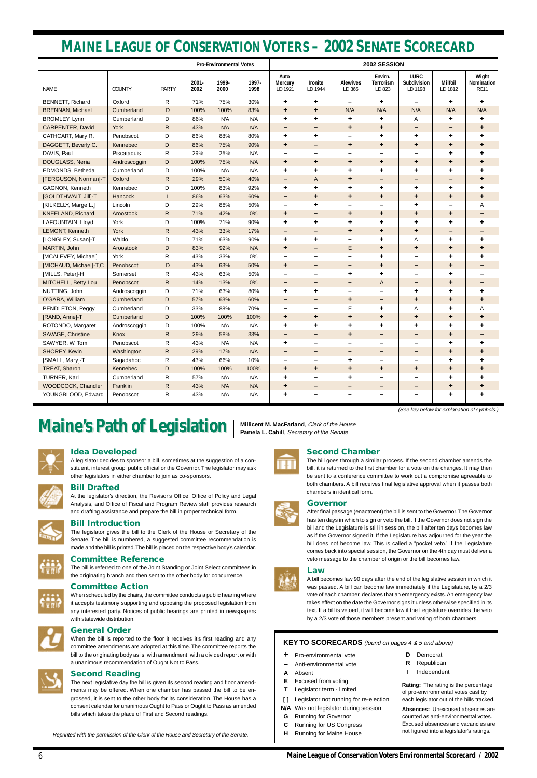## **Idea Developed**

A legislator decides to sponsor a bill, sometimes at the suggestion of a constituent, interest group, public official or the Governor. The legislator may ask other legislators in either chamber to join as co-sponsors.



## **Bill Drafted**

At the legislator's direction, the Revisor's Office, Office of Policy and Legal Analysis, and Office of Fiscal and Program Review staff provides research and drafting assistance and prepare the bill in proper technical form.



## **Bill Introduction**

The legislator gives the bill to the Clerk of the House or Secretary of the Senate. The bill is numbered, a suggested committee recommendation is made and the bill is printed. The bill is placed on the respective body's calendar.



## **Committee Reference**

The bill is referred to one of the Joint Standing or Joint Select committees in the originating branch and then sent to the other body for concurrence.

#### **Committee Action**

When scheduled by the chairs, the committee conducts a public hearing where it accepts testimony supporting and opposing the proposed legislation from any interested party. Notices of public hearings are printed in newspapers with statewide distribution.

#### **General Order**





#### **Second Reading**

The next legislative day the bill is given its second reading and floor amendments may be offered. When one chamber has passed the bill to be engrossed, it is sent to the other body for its consideration. The House has a consent calendar for unanimous Ought to Pass or Ought to Pass as amended bills which takes the place of First and Second readings.

#### **Second Chamber**

The bill goes through a similar process. If the second chamber amends the bill, it is returned to the first chamber for a vote on the changes. It may then be sent to a conference committee to work out a compromise agreeable to both chambers. A bill receives final legislative approval when it passes both chambers in identical form.

#### **Governor**

After final passage (enactment) the bill is sent to the Governor. The Governor has ten days in which to sign or veto the bill. If the Governor does not sign the bill and the Legislature is still in session, the bill after ten days becomes law as if the Governor signed it. If the Legislature has adjourned for the year the bill does not become law. This is called a "pocket veto." If the Legislature comes back into special session, the Governor on the 4th day must deliver a veto message to the chamber of origin or the bill becomes law.

## **Law**

A bill becomes law 90 days after the end of the legislative session in which it was passed. A bill can become law immediately if the Legislature, by a 2/3 vote of each chamber, declares that an emergency exists. An emergency law takes effect on the date the Governor signs it unless otherwise specified in its text. If a bill is vetoed, it will become law if the Legislature overrides the veto by a 2/3 vote of those members present and voting of both chambers.





**Millicent M. MacFarland**, Clerk of the House



Reprinted with the permission of the Clerk of the House and Secretary of the Senate.

#### **KEY TO SCORECARDS** (found on pages 4 & 5 and above)

- **+** Pro-environmental vote
- **–** Anti-environmental vote
- **A** Absent
- **E** Excused from voting
- **T** Legislator term limited
- **[ ]** Legislator not running for re-election
- **N/A** Was not legislator during session
- **G** Running for Governor
- **C** Running for US Congress
- **H** Running for Maine House

**Rating:** The rating is the percentage of pro-environmental votes cast by each legislator out of the bills tracked.

**Absences:** Unexcused absences are counted as anti-environmental votes. Excused absences and vacancies are not figured into a legislator's ratings.

|                          |              |              |               | <b>Pro-Environmental Votes</b> |               | 2002 SESSION                      |                          |                              |                                       |                                       |                           |                                    |  |
|--------------------------|--------------|--------------|---------------|--------------------------------|---------------|-----------------------------------|--------------------------|------------------------------|---------------------------------------|---------------------------------------|---------------------------|------------------------------------|--|
| NAME                     | COUNTY       | <b>PARTY</b> | 2001-<br>2002 | 1999-<br>2000                  | 1997-<br>1998 | Auto<br><b>Mercury</b><br>LD 1921 | Ironite<br>LD 1944       | <b>Alewives</b><br>LD 365    | Envirn.<br><b>Terrorism</b><br>LD 823 | <b>LURC</b><br>Subdivision<br>LD 1198 | <b>Milfoil</b><br>LD 1812 | Wight<br>Nomination<br><b>RC11</b> |  |
| <b>BENNETT, Richard</b>  | Oxford       | R            | 71%           | 75%                            | 30%           | ٠                                 | ٠                        | $\overline{\phantom{m}}$     | ٠                                     | $\overline{\phantom{0}}$              | ÷                         | ٠                                  |  |
| <b>BRENNAN, Michael</b>  | Cumberland   | D            | 100%          | 100%                           | 83%           | ٠                                 | ٠                        | N/A                          | N/A                                   | N/A                                   | N/A                       | N/A                                |  |
| BROMLEY, Lynn            | Cumberland   | D            | 86%           | N/A                            | N/A           | ٠                                 | ٠                        | $\ddot{}$                    | ٠                                     | Α                                     | ٠                         | ٠                                  |  |
| CARPENTER, David         | York         | $\mathsf{R}$ | 43%           | N/A                            | N/A           | -                                 | -                        | ٠                            | ٠                                     | -                                     | -                         | ٠                                  |  |
| CATHCART, Mary R.        | Penobscot    | D            | 86%           | 88%                            | 80%           | ٠                                 | ٠                        | $\qquad \qquad \blacksquare$ | ٠                                     | ٠                                     | ٠                         | ٠                                  |  |
| DAGGETT, Beverly C.      | Kennebec     | D            | 86%           | 75%                            | 90%           | ٠                                 | -                        | $\ddot{}$                    | ٠                                     | ÷                                     | $\ddot{}$                 | ٠                                  |  |
| DAVIS, Paul              | Piscataquis  | R            | 29%           | 25%                            | N/A           |                                   | -                        |                              | $\overline{\phantom{0}}$              | —                                     | ٠                         | ٠                                  |  |
| DOUGLASS, Neria          | Androscoggin | D            | 100%          | 75%                            | N/A           | ٠                                 | ٠                        | ٠                            | ٠                                     | ٠                                     | ٠                         | ٠                                  |  |
| EDMONDS, Betheda         | Cumberland   | D            | 100%          | N/A                            | N/A           | ٠                                 | ٠                        | ٠                            | ٠                                     | ٠                                     | ٠                         | ٠                                  |  |
| [FERGUSON, Norman]-T     | Oxford       | $\mathsf{R}$ | 29%           | 50%                            | 40%           | -                                 | A                        | ٠                            | -                                     | -                                     | -                         | ٠                                  |  |
| GAGNON, Kenneth          | Kennebec     | D            | 100%          | 83%                            | 92%           | ٠                                 | ٠                        | ÷                            | ٠                                     | ٠                                     | ٠                         | ٠                                  |  |
| [GOLDTHWAIT, Jill]-T     | Hancock      |              | 86%           | 63%                            | 60%           |                                   | ٠                        | ٠                            | ٠                                     | ÷                                     | $\ddot{}$                 | ٠                                  |  |
| [KILKELLY, Marge L.]     | Lincoln      | D            | 29%           | 88%                            | 50%           | -                                 | ٠                        | $\overline{\phantom{0}}$     | ۰                                     | ٠                                     | $\overline{\phantom{0}}$  | Α                                  |  |
| <b>KNEELAND, Richard</b> | Aroostook    | $\mathsf{R}$ | 71%           | 42%                            | 0%            | ٠                                 | $\overline{\phantom{m}}$ | ٠                            | ٠                                     | ٠                                     | $\ddot{}$                 | $\qquad \qquad$                    |  |
| LAFOUNTAIN, Lloyd        | York         | D            | 100%          | 71%                            | 90%           | ٠                                 | ٠                        | ٠                            | ٠                                     | ٠                                     | ٠                         | ٠                                  |  |
| LEMONT, Kenneth          | York         | R.           | 43%           | 33%                            | 17%           | -                                 | -                        | ٠                            | ٠                                     | ٠                                     | -                         | -                                  |  |
| [LONGLEY, Susan]-T       | Waldo        | D            | 71%           | 63%                            | 90%           | ٠                                 | ٠                        |                              | ٠                                     | Α                                     | ٠                         | ٠                                  |  |
| MARTIN, John             | Aroostook    | D            | 83%           | 92%                            | N/A           | ٠                                 | $\qquad \qquad -$        | $\mathsf E$                  | ٠                                     | ٠                                     | ٠                         | ٠                                  |  |
| [MCALEVEY, Michael]      | York         | R            | 43%           | 33%                            | 0%            | -                                 | —                        | -                            | ٠                                     | -                                     | ÷                         | ٠                                  |  |
| [MICHAUD, Michael]-T,C   | Penobscot    | D            | 43%           | 63%                            | 50%           | ٠                                 | -                        | $\qquad \qquad -$            | $\ddot{}$                             | -                                     | $\ddot{}$                 | $\qquad \qquad$                    |  |
| [MILLS, Peter]-H         | Somerset     | R            | 43%           | 63%                            | 50%           | -                                 | -                        | ٠                            | ٠                                     | —                                     | ٠                         |                                    |  |
| MITCHELL, Betty Lou      | Penobscot    | R            | 14%           | 13%                            | 0%            | -                                 | -                        | $\qquad \qquad$              | $\overline{A}$                        | -                                     | $\ddot{}$                 |                                    |  |
| NUTTING, John            | Androscoggin | D            | 71%           | 63%                            | 80%           | ٠                                 | ٠                        |                              |                                       | ٠                                     | ٠                         | ٠                                  |  |
| O'GARA, William          | Cumberland   | D            | 57%           | 63%                            | 60%           | -                                 | $\overline{\phantom{m}}$ | ٠                            | $\qquad \qquad -$                     | ٠                                     | ٠                         | ٠                                  |  |
| PENDLETON, Peggy         | Cumberland   | D            | 33%           | 88%                            | 70%           | -                                 | —                        | Е                            | ٠                                     | Α                                     | ٠                         | Α                                  |  |
| [RAND, Anne]-T           | Cumberland   | D            | 100%          | 100%                           | 100%          | ٠                                 | ٠                        | ٠                            | ٠                                     | ٠                                     | ٠                         | ٠                                  |  |
| ROTONDO, Margaret        | Androscoggin | D            | 100%          | N/A                            | N/A           | ٠                                 | ٠                        | $\ddot{}$                    | ٠                                     | ٠                                     | ÷                         | ٠                                  |  |
| SAVAGE, Christine        | Knox         | $\mathsf{R}$ | 29%           | 58%                            | 33%           | -                                 | -                        | ٠                            |                                       |                                       | ٠                         |                                    |  |
| SAWYER, W. Tom           | Penobscot    | R            | 43%           | N/A                            | N/A           | ٠                                 | —                        |                              |                                       |                                       | ٠                         | ٠                                  |  |
| <b>SHOREY, Kevin</b>     | Washington   | R.           | 29%           | 17%                            | N/A           |                                   |                          |                              |                                       |                                       | ÷                         | ٠                                  |  |
| [SMALL, Mary]-T          | Sagadahoc    | R            | 43%           | 66%                            | 10%           |                                   |                          | ٠                            |                                       | -                                     | ٠                         | ٠                                  |  |
| TREAT, Sharon            | Kennebec     | $\mathsf D$  | 100%          | 100%                           | 100%          | $\ddot{}$                         | $\ddot{}$                | ٠                            | ٠                                     | ٠                                     | $\ddot{}$                 |                                    |  |
| TURNER, Karl             | Cumberland   | ${\sf R}$    | 57%           | N/A                            | N/A           | ٠                                 |                          | ٠                            |                                       | -                                     | ٠                         | ÷                                  |  |
| WOODCOCK, Chandler       | Franklin     | $\mathsf{R}$ | 43%           | N/A                            | N/A           | ٠                                 |                          |                              | -                                     | -                                     | ٠                         | ٠                                  |  |
| YOUNGBLOOD, Edward       | Penobscot    | $\mathsf{R}$ | 43%           | N/A                            | N/A           | ٠                                 | -                        |                              | -                                     | -                                     | ٠                         | ٠                                  |  |

**Maine's Path of Legislation** | Millicent M. MacFarland, Clerk of the Hourd **Senate** 

# **MAINE LEAGUE OF CONSERVATION VOTERS – 2002 SENATE SCORECARD**

(See key below for explanation of symbols.)

- **D** Democrat
- **R** Republican
- **I** Independent

6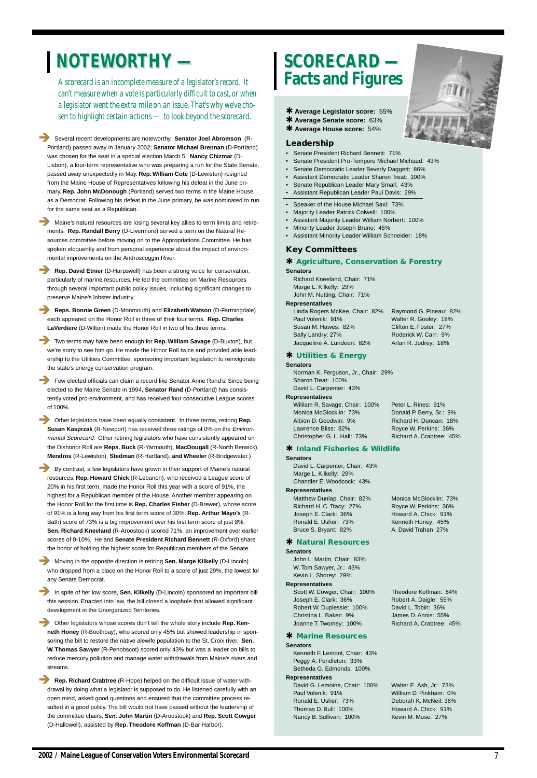*A scorecard is an incomplete measure of a legislator's record. It can't measure when a vote is particularly difficult to cast, or when a legislator went the extra mile on an issue. That's why we've chosen to highlight certain actions — to look beyond the scorecard.*

! Several recent developments are noteworthy. **Senator Joel Abromson** (R-Portland) passed away in January 2002; **Senator Michael Brennan** (D-Portland) was chosen for the seat in a special election March 5. **Nancy Chizmar** (D-Lisbon), a four-term representative who was preparing a run for the State Senate, passed away unexpectedly in May. **Rep. William Cote** (D-Lewiston) resigned from the Maine House of Representatives following his defeat in the June primary. **Rep. John McDonough** (Portland) served two terms in the Maine House as a Democrat. Following his defeat in the June primary, he was nominated to run for the same seat as a Republican.

Maine's natural resources are losing several key allies to term limits and retirements. **Rep. Randall Berry** (D-Livermore) served a term on the Natural Resources committee before moving on to the Appropriations Committee. He has spoken eloquently and from personal experience about the impact of environmental improvements on the Androscoggin River.

**Rep. David Etnier** (D-Harpswell) has been a strong voice for conservation, particularly of marine resources. He led the committee on Marine Resources through several important public policy issues, including significant changes to preserve Maine's lobster industry.

**Reps. Bonnie Green** (D-Monmouth) and **Elizabeth Watson** (D-Farmingdale) each appeared on the Honor Roll in three of their four terms. **Rep. Charles LaVerdiere** (D-Wilton) made the Honor Roll in two of his three terms.

**. Other legislators have been equally consistent. In three terms, retiring Rep. Susan Kasprzak** (R-Newport) has received three ratings of 0% on the Environmental Scorecard. Other retiring legislators who have consistently appeared on the Dishonor Roll are **Reps. Buck** (R-Yarmouth), **MacDougall** (R-North Berwick), **Mendros** (R-Lewiston), **Stedman** (R-Hartland), **and Wheeler** (R-Bridgewater.)

**EXECUTE:** By contrast, a few legislators have grown in their support of Maine's natural resources. **Rep. Howard Chick** (R-Lebanon), who received a League score of 20% in his first term, made the Honor Roll this year with a score of 91%, the highest for a Republican member of the House. Another member appearing on the Honor Roll for the first time is **Rep. Charles Fisher** (D-Brewer), whose score of 91% is a long way from his first term score of 30%. **Rep. Arthur Mayo's** (R-Bath) score of 73% is a big improvement over his first term score of just 8%. **Sen. Richard Kneeland** (R-Aroostook) scored 71%, an improvement over earlier scores of 0-10%. He and **Senate President Richard Bennett** (R-Oxford) share the honor of holding the highest score for Republican members of the Senate.

! Two terms may have been enough for **Rep. William Savage** (D-Buxton), but we're sorry to see him go. He made the Honor Roll twice and provided able leadership to the Utilities Committee, sponsoring important legislation to reinvigorate the state's energy conservation program.

**EXECUTE:** Other legislators whose scores don't tell the whole story include **Rep. Kenneth Honey** (R-Boothbay), who scored only 45% but showed leadership in sponsoring the bill to restore the native alewife population to the St. Croix river. **Sen. W. Thomas Sawyer** (R-Penobscot) scored only 43% but was a leader on bills to reduce mercury pollution and manage water withdrawals from Maine's rivers and streams.

! Few elected officials can claim a record like Senator Anne Rand's. Since being elected to the Maine Senate in 1994, **Senator Rand** (D-Portland) has consistently voted pro-environment, and has received four consecutive League scores of 100%.

**Rep. Richard Crabtree** (R-Hope) helped on the difficult issue of water withdrawal by doing what a legislator is supposed to do. He listened carefully with an open mind, asked good questions and ensured that the committee process resulted in a good policy. The bill would not have passed without the leadership of the committee chairs, **Sen. John Martin** (D-Aroostook) and **Rep. Scott Cowger** (D-Hallowell), assisted by **Rep. Theodore Koffman** (D-Bar Harbor).

Linda Rogers McKee, Chair: 82% Raymond G. Pineau: 82% Paul Volenik: 91% Walter R. Gooley: 18% Susan M. Hawes: 82% Clifton E. Foster: 27% Sally Landry: 27% Roderick W. Carr: 9% Jacqueline A. Lundeen: 82% Arlan R. Jodrey: 18%

William R. Savage, Chair: 100% Peter L. Rines: 91% Monica McGlocklin: 73% Donald P. Berry, Sr.: 9% Albion D. Goodwin: 9% Richard H. Duncan: 18% Lawrence Bliss: 82% Royce W. Perkins: 36% Christopher G. L. Hall: 73% Richard A. Crabtree: 45%

David G. Lemoine, Chair: 100% Walter E. Ash, Jr.: 73% Paul Volenik: 91% William D. Pinkham: 0% Ronald E. Usher: 73% Deborah K. McNeil: 36% Thomas D. Bull: 100% Howard A. Chick: 91% Nancy B. Sullivan: 100% Kevin M. Muse: 27%

Joanne T. Twomey: 100% Richard A. Crabtree: 45%

! Moving in the opposite direction is retiring **Sen. Marge Kilkelly** (D-Lincoln) who dropped from a place on the Honor Roll to a score of just 29%, the lowest for any Senate Democrat.

! In spite of her low score, **Sen. Kilkelly** (D-Lincoln) sponsored an important bill this session. Enacted into law, the bill closed a loophole that allowed significant development in the Unorganized Territories.

# **NOTEWORTHY — NOTEWORTHY — SCORECARD — SCORECARD —**

# **Facts and Figures**

✱ **Average Legislator score:** 55%

- ✱ **Average Senate score:** 63%
- ✱ **Average House score:** 54%

#### **Leadership**

- Senate President Richard Bennett: 71%
- Senate President Pro-Tempore Michael Michaud: 43%
- Senate Democratic Leader Beverly Daggett: 86%
- Assistant Democratic Leader Sharon Treat: 100%
- Senate Republican Leader Mary Small: 43%
- Assistant Republican Leader Paul Davis: 29%
- Speaker of the House Michael Saxl: 73%
- Majority Leader Patrick Colwell: 100%
- Assistant Majority Leader William Norbert: 100%
- Minority Leader Joseph Bruno: 45%
- Assistant Minority Leader William Schneider: 18%

#### **Key Committees**

# ✱ **Agriculture, Conservation & Forestry**

**Senators**

Richard Kneeland, Chair: 71% Marge L. Kilkelly: 29% John M. Nutting, Chair: 71%

#### **Representatives**

#### ✱ **Utilities & Energy**

#### **Senators**

Norman K. Ferguson, Jr., Chair: 29% Sharon Treat: 100% David L. Carpenter: 43%

#### **Representatives**

#### ✱ **Inland Fisheries & Wildlife**

#### **Senators**

David L. Carpenter, Chair: 43% Marge L. Kilkelly: 29% Chandler E. Woodcock: 43%

#### **Representatives**

Matthew Dunlap, Chair: 82% Monica McGlocklin: 73% Richard H. C. Tracy: 27% Royce W. Perkins: 36% Joseph E. Clark: 36% Howard A. Chick: 91% Ronald E. Usher: 73% Kenneth Honey: 45% Bruce S. Bryant: 82% A. David Trahan 27%

#### ✱ **Natural Resources**

**Senators**

John L. Martin, Chair: 83% W. Tom Sawyer, Jr.: 43% Kevin L. Shorey: 29% **Representatives**



Scott W. Cowger, Chair: 100% Theodore Koffman: 64% Joseph E. Clark: 36% Robert A. Daigle: 55% Robert W. Duplessie: 100% David L. Tobin: 36% Christina L. Baker: 9% James D. Annis: 55%

#### ✱ **Marine Resources**

#### **Senators**

Kenneth F. Lemont, Chair: 43% Peggy A. Pendleton: 33% Betheda G. Edmonds: 100%

#### **Representatives**